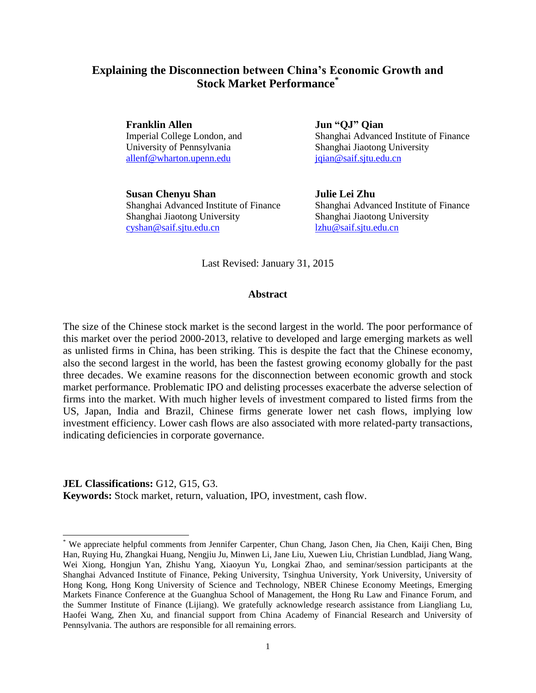# **Explaining the Disconnection between China's Economic Growth and Stock Market Performance\***

**Franklin Allen** Jun "QJ" Qian [allenf@wharton.upenn.edu](mailto:allenf@wharton.upenn.edu) [jqian@saif.sjtu.edu.cn](mailto:jqian@saif.sjtu.edu.cn)

**Susan Chenyu Shan Julie Lei Zhu** Shanghai Jiaotong University Shanghai Jiaotong University [cyshan@saif.sjtu.edu.cn](mailto:cshan@saif.sjtu.edu.cn) [lzhu@saif.sjtu.edu.cn](mailto:lzhu@saif.sjtu.edu.cn)

Imperial College London, and Shanghai Advanced Institute of Finance University of Pennsylvania Shanghai Jiaotong University

Shanghai Advanced Institute of Finance Shanghai Advanced Institute of Finance

Last Revised: January 31, 2015

# **Abstract**

The size of the Chinese stock market is the second largest in the world. The poor performance of this market over the period 2000-2013, relative to developed and large emerging markets as well as unlisted firms in China, has been striking. This is despite the fact that the Chinese economy, also the second largest in the world, has been the fastest growing economy globally for the past three decades. We examine reasons for the disconnection between economic growth and stock market performance. Problematic IPO and delisting processes exacerbate the adverse selection of firms into the market. With much higher levels of investment compared to listed firms from the US, Japan, India and Brazil, Chinese firms generate lower net cash flows, implying low investment efficiency. Lower cash flows are also associated with more related-party transactions, indicating deficiencies in corporate governance.

## **JEL Classifications:** G12, G15, G3.

l

**Keywords:** Stock market, return, valuation, IPO, investment, cash flow.

<sup>\*</sup> We appreciate helpful comments from Jennifer Carpenter, Chun Chang, Jason Chen, Jia Chen, Kaiji Chen, Bing Han, Ruying Hu, Zhangkai Huang, Nengjiu Ju, Minwen Li, Jane Liu, Xuewen Liu, Christian Lundblad, Jiang Wang, Wei Xiong, Hongjun Yan, Zhishu Yang, Xiaoyun Yu, Longkai Zhao, and seminar/session participants at the Shanghai Advanced Institute of Finance, Peking University, Tsinghua University, York University, University of Hong Kong, Hong Kong University of Science and Technology, NBER Chinese Economy Meetings, Emerging Markets Finance Conference at the Guanghua School of Management, the Hong Ru Law and Finance Forum, and the Summer Institute of Finance (Lijiang). We gratefully acknowledge research assistance from Liangliang Lu, Haofei Wang, Zhen Xu, and financial support from China Academy of Financial Research and University of Pennsylvania. The authors are responsible for all remaining errors.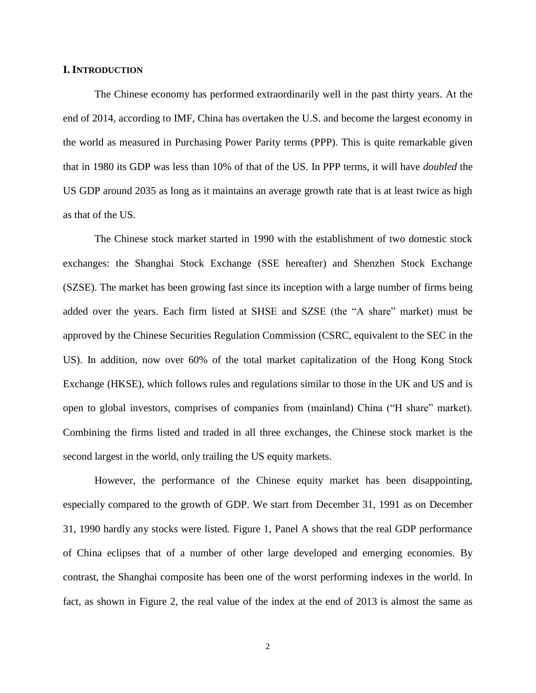# **I. INTRODUCTION**

The Chinese economy has performed extraordinarily well in the past thirty years. At the end of 2014, according to IMF, China has overtaken the U.S. and become the largest economy in the world as measured in Purchasing Power Parity terms (PPP). This is quite remarkable given that in 1980 its GDP was less than 10% of that of the US. In PPP terms, it will have *doubled* the US GDP around 2035 as long as it maintains an average growth rate that is at least twice as high as that of the US.

The Chinese stock market started in 1990 with the establishment of two domestic stock exchanges: the Shanghai Stock Exchange (SSE hereafter) and Shenzhen Stock Exchange (SZSE). The market has been growing fast since its inception with a large number of firms being added over the years. Each firm listed at SHSE and SZSE (the "A share" market) must be approved by the Chinese Securities Regulation Commission (CSRC, equivalent to the SEC in the US). In addition, now over 60% of the total market capitalization of the Hong Kong Stock Exchange (HKSE), which follows rules and regulations similar to those in the UK and US and is open to global investors, comprises of companies from (mainland) China ("H share" market). Combining the firms listed and traded in all three exchanges, the Chinese stock market is the second largest in the world, only trailing the US equity markets.

However, the performance of the Chinese equity market has been disappointing, especially compared to the growth of GDP. We start from December 31, 1991 as on December 31, 1990 hardly any stocks were listed*.* Figure 1, Panel A shows that the real GDP performance of China eclipses that of a number of other large developed and emerging economies*.* By contrast, the Shanghai composite has been one of the worst performing indexes in the world. In fact, as shown in Figure 2, the real value of the index at the end of 2013 is almost the same as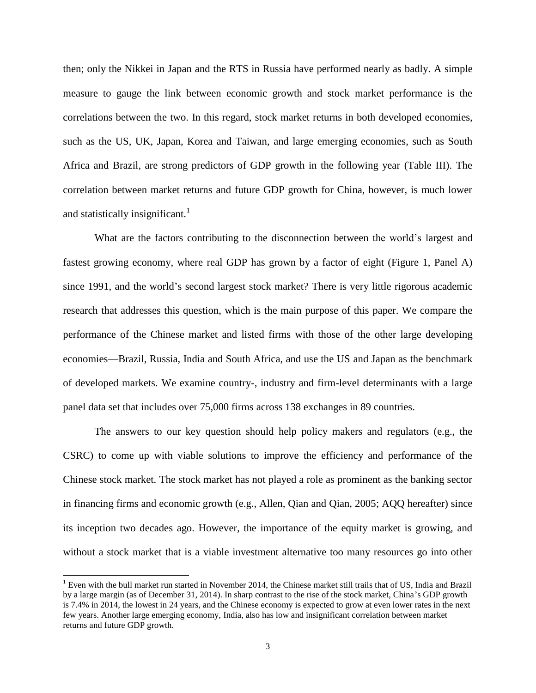then; only the Nikkei in Japan and the RTS in Russia have performed nearly as badly. A simple measure to gauge the link between economic growth and stock market performance is the correlations between the two. In this regard, stock market returns in both developed economies, such as the US, UK, Japan, Korea and Taiwan, and large emerging economies, such as South Africa and Brazil, are strong predictors of GDP growth in the following year (Table III). The correlation between market returns and future GDP growth for China, however, is much lower and statistically insignificant.<sup>1</sup>

What are the factors contributing to the disconnection between the world's largest and fastest growing economy, where real GDP has grown by a factor of eight (Figure 1, Panel A) since 1991, and the world's second largest stock market? There is very little rigorous academic research that addresses this question, which is the main purpose of this paper. We compare the performance of the Chinese market and listed firms with those of the other large developing economies—Brazil, Russia, India and South Africa, and use the US and Japan as the benchmark of developed markets. We examine country-, industry and firm-level determinants with a large panel data set that includes over 75,000 firms across 138 exchanges in 89 countries.

The answers to our key question should help policy makers and regulators (e.g., the CSRC) to come up with viable solutions to improve the efficiency and performance of the Chinese stock market. The stock market has not played a role as prominent as the banking sector in financing firms and economic growth (e.g., Allen, Qian and Qian, 2005; AQQ hereafter) since its inception two decades ago. However, the importance of the equity market is growing, and without a stock market that is a viable investment alternative too many resources go into other

 $\overline{a}$ 

<sup>&</sup>lt;sup>1</sup> Even with the bull market run started in November 2014, the Chinese market still trails that of US, India and Brazil by a large margin (as of December 31, 2014). In sharp contrast to the rise of the stock market, China's GDP growth is 7.4% in 2014, the lowest in 24 years, and the Chinese economy is expected to grow at even lower rates in the next few years. Another large emerging economy, India, also has low and insignificant correlation between market returns and future GDP growth.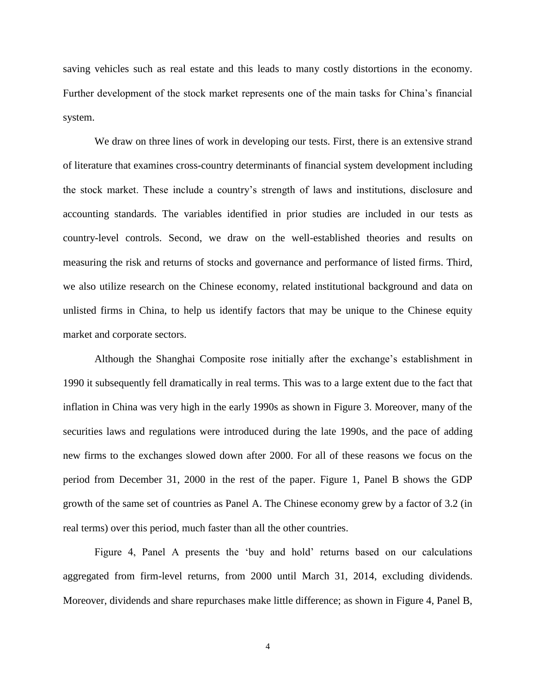saving vehicles such as real estate and this leads to many costly distortions in the economy. Further development of the stock market represents one of the main tasks for China's financial system.

We draw on three lines of work in developing our tests. First, there is an extensive strand of literature that examines cross-country determinants of financial system development including the stock market. These include a country's strength of laws and institutions, disclosure and accounting standards. The variables identified in prior studies are included in our tests as country-level controls. Second, we draw on the well-established theories and results on measuring the risk and returns of stocks and governance and performance of listed firms. Third, we also utilize research on the Chinese economy, related institutional background and data on unlisted firms in China, to help us identify factors that may be unique to the Chinese equity market and corporate sectors.

Although the Shanghai Composite rose initially after the exchange's establishment in 1990 it subsequently fell dramatically in real terms. This was to a large extent due to the fact that inflation in China was very high in the early 1990s as shown in Figure 3. Moreover, many of the securities laws and regulations were introduced during the late 1990s, and the pace of adding new firms to the exchanges slowed down after 2000. For all of these reasons we focus on the period from December 31, 2000 in the rest of the paper. Figure 1, Panel B shows the GDP growth of the same set of countries as Panel A. The Chinese economy grew by a factor of 3.2 (in real terms) over this period, much faster than all the other countries.

Figure 4, Panel A presents the 'buy and hold' returns based on our calculations aggregated from firm-level returns, from 2000 until March 31, 2014, excluding dividends. Moreover, dividends and share repurchases make little difference; as shown in Figure 4, Panel B,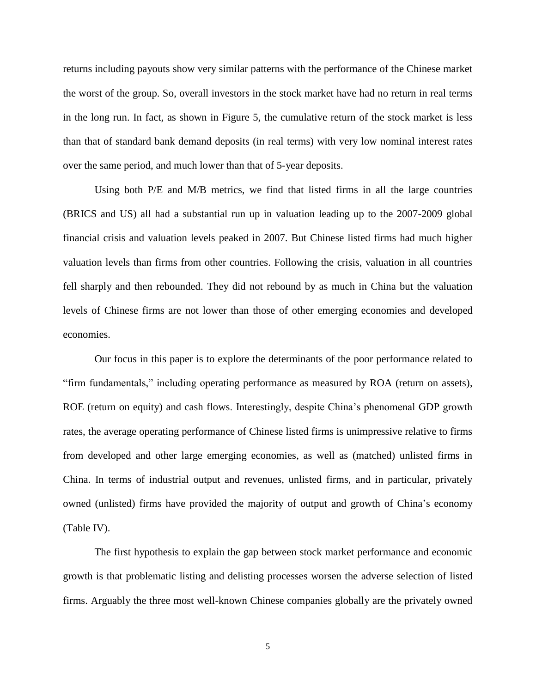returns including payouts show very similar patterns with the performance of the Chinese market the worst of the group. So, overall investors in the stock market have had no return in real terms in the long run. In fact, as shown in Figure 5, the cumulative return of the stock market is less than that of standard bank demand deposits (in real terms) with very low nominal interest rates over the same period, and much lower than that of 5-year deposits.

Using both P/E and M/B metrics, we find that listed firms in all the large countries (BRICS and US) all had a substantial run up in valuation leading up to the 2007-2009 global financial crisis and valuation levels peaked in 2007. But Chinese listed firms had much higher valuation levels than firms from other countries. Following the crisis, valuation in all countries fell sharply and then rebounded. They did not rebound by as much in China but the valuation levels of Chinese firms are not lower than those of other emerging economies and developed economies.

Our focus in this paper is to explore the determinants of the poor performance related to "firm fundamentals," including operating performance as measured by ROA (return on assets), ROE (return on equity) and cash flows. Interestingly, despite China's phenomenal GDP growth rates, the average operating performance of Chinese listed firms is unimpressive relative to firms from developed and other large emerging economies, as well as (matched) unlisted firms in China. In terms of industrial output and revenues, unlisted firms, and in particular, privately owned (unlisted) firms have provided the majority of output and growth of China's economy (Table IV).

The first hypothesis to explain the gap between stock market performance and economic growth is that problematic listing and delisting processes worsen the adverse selection of listed firms. Arguably the three most well-known Chinese companies globally are the privately owned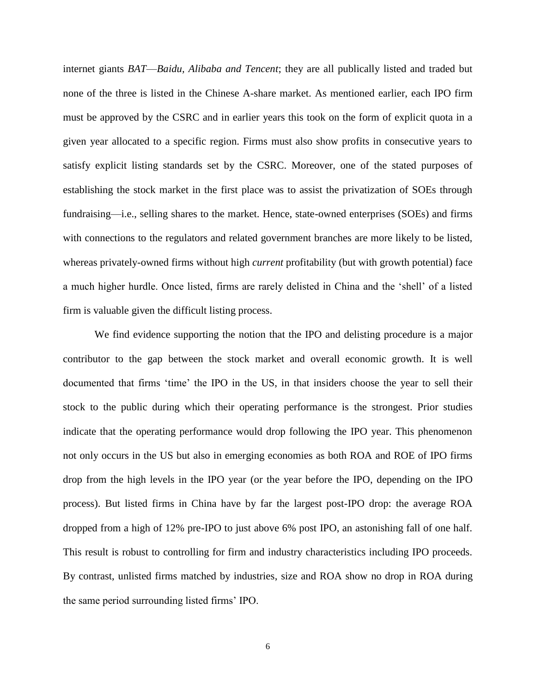internet giants *BAT*—*Baidu, Alibaba and Tencent*; they are all publically listed and traded but none of the three is listed in the Chinese A-share market. As mentioned earlier, each IPO firm must be approved by the CSRC and in earlier years this took on the form of explicit quota in a given year allocated to a specific region. Firms must also show profits in consecutive years to satisfy explicit listing standards set by the CSRC. Moreover, one of the stated purposes of establishing the stock market in the first place was to assist the privatization of SOEs through fundraising—i.e., selling shares to the market. Hence, state-owned enterprises (SOEs) and firms with connections to the regulators and related government branches are more likely to be listed, whereas privately-owned firms without high *current* profitability (but with growth potential) face a much higher hurdle. Once listed, firms are rarely delisted in China and the 'shell' of a listed firm is valuable given the difficult listing process.

We find evidence supporting the notion that the IPO and delisting procedure is a major contributor to the gap between the stock market and overall economic growth. It is well documented that firms 'time' the IPO in the US, in that insiders choose the year to sell their stock to the public during which their operating performance is the strongest. Prior studies indicate that the operating performance would drop following the IPO year. This phenomenon not only occurs in the US but also in emerging economies as both ROA and ROE of IPO firms drop from the high levels in the IPO year (or the year before the IPO, depending on the IPO process). But listed firms in China have by far the largest post-IPO drop: the average ROA dropped from a high of 12% pre-IPO to just above 6% post IPO, an astonishing fall of one half. This result is robust to controlling for firm and industry characteristics including IPO proceeds. By contrast, unlisted firms matched by industries, size and ROA show no drop in ROA during the same period surrounding listed firms' IPO.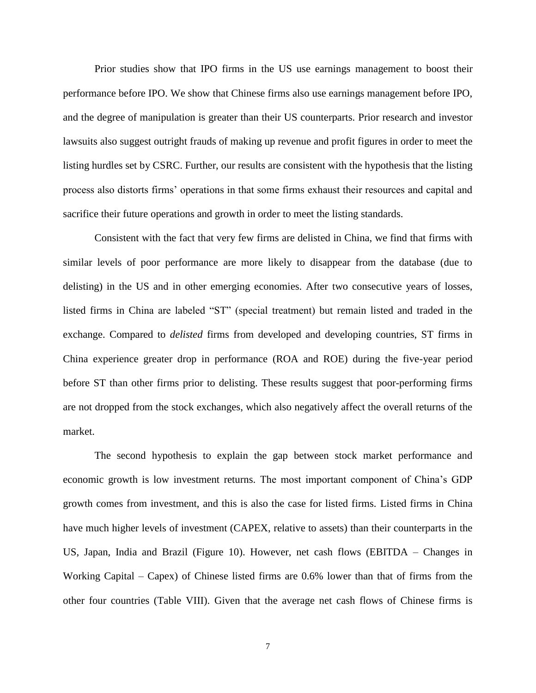Prior studies show that IPO firms in the US use earnings management to boost their performance before IPO. We show that Chinese firms also use earnings management before IPO, and the degree of manipulation is greater than their US counterparts. Prior research and investor lawsuits also suggest outright frauds of making up revenue and profit figures in order to meet the listing hurdles set by CSRC. Further, our results are consistent with the hypothesis that the listing process also distorts firms' operations in that some firms exhaust their resources and capital and sacrifice their future operations and growth in order to meet the listing standards.

Consistent with the fact that very few firms are delisted in China, we find that firms with similar levels of poor performance are more likely to disappear from the database (due to delisting) in the US and in other emerging economies. After two consecutive years of losses, listed firms in China are labeled "ST" (special treatment) but remain listed and traded in the exchange. Compared to *delisted* firms from developed and developing countries, ST firms in China experience greater drop in performance (ROA and ROE) during the five-year period before ST than other firms prior to delisting. These results suggest that poor-performing firms are not dropped from the stock exchanges, which also negatively affect the overall returns of the market.

The second hypothesis to explain the gap between stock market performance and economic growth is low investment returns. The most important component of China's GDP growth comes from investment, and this is also the case for listed firms. Listed firms in China have much higher levels of investment (CAPEX, relative to assets) than their counterparts in the US, Japan, India and Brazil (Figure 10). However, net cash flows (EBITDA – Changes in Working Capital – Capex) of Chinese listed firms are 0.6% lower than that of firms from the other four countries (Table VIII). Given that the average net cash flows of Chinese firms is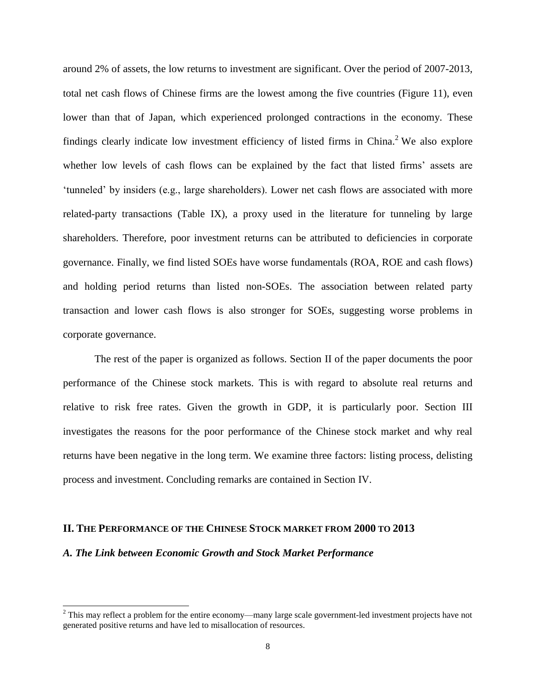around 2% of assets, the low returns to investment are significant. Over the period of 2007-2013, total net cash flows of Chinese firms are the lowest among the five countries (Figure 11), even lower than that of Japan, which experienced prolonged contractions in the economy. These findings clearly indicate low investment efficiency of listed firms in China.<sup>2</sup> We also explore whether low levels of cash flows can be explained by the fact that listed firms' assets are 'tunneled' by insiders (e.g., large shareholders). Lower net cash flows are associated with more related-party transactions (Table IX), a proxy used in the literature for tunneling by large shareholders. Therefore, poor investment returns can be attributed to deficiencies in corporate governance. Finally, we find listed SOEs have worse fundamentals (ROA, ROE and cash flows) and holding period returns than listed non-SOEs. The association between related party transaction and lower cash flows is also stronger for SOEs, suggesting worse problems in corporate governance.

The rest of the paper is organized as follows. Section II of the paper documents the poor performance of the Chinese stock markets. This is with regard to absolute real returns and relative to risk free rates. Given the growth in GDP, it is particularly poor. Section III investigates the reasons for the poor performance of the Chinese stock market and why real returns have been negative in the long term. We examine three factors: listing process, delisting process and investment. Concluding remarks are contained in Section IV.

## **II. THE PERFORMANCE OF THE CHINESE STOCK MARKET FROM 2000 TO 2013**

# *A. The Link between Economic Growth and Stock Market Performance*

 $\overline{a}$ 

<sup>&</sup>lt;sup>2</sup> This may reflect a problem for the entire economy—many large scale government-led investment projects have not generated positive returns and have led to misallocation of resources.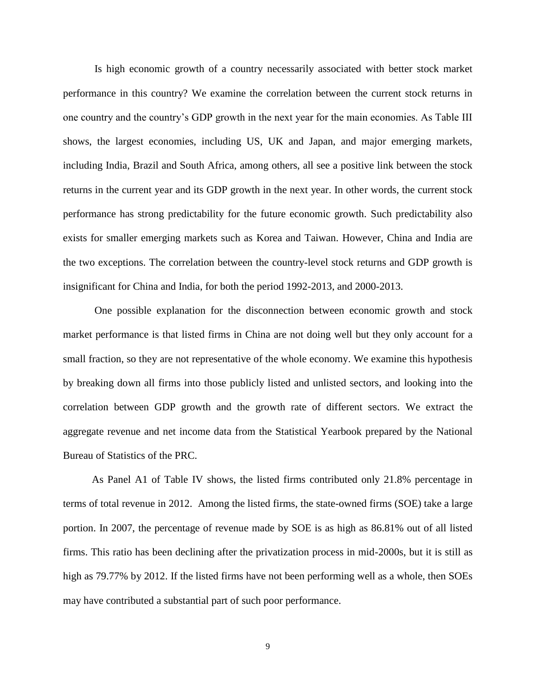Is high economic growth of a country necessarily associated with better stock market performance in this country? We examine the correlation between the current stock returns in one country and the country's GDP growth in the next year for the main economies. As Table III shows, the largest economies, including US, UK and Japan, and major emerging markets, including India, Brazil and South Africa, among others, all see a positive link between the stock returns in the current year and its GDP growth in the next year. In other words, the current stock performance has strong predictability for the future economic growth. Such predictability also exists for smaller emerging markets such as Korea and Taiwan. However, China and India are the two exceptions. The correlation between the country-level stock returns and GDP growth is insignificant for China and India, for both the period 1992-2013, and 2000-2013.

 One possible explanation for the disconnection between economic growth and stock market performance is that listed firms in China are not doing well but they only account for a small fraction, so they are not representative of the whole economy. We examine this hypothesis by breaking down all firms into those publicly listed and unlisted sectors, and looking into the correlation between GDP growth and the growth rate of different sectors. We extract the aggregate revenue and net income data from the Statistical Yearbook prepared by the National Bureau of Statistics of the PRC.

As Panel A1 of Table IV shows, the listed firms contributed only 21.8% percentage in terms of total revenue in 2012. Among the listed firms, the state-owned firms (SOE) take a large portion. In 2007, the percentage of revenue made by SOE is as high as 86.81% out of all listed firms. This ratio has been declining after the privatization process in mid-2000s, but it is still as high as 79.77% by 2012. If the listed firms have not been performing well as a whole, then SOEs may have contributed a substantial part of such poor performance.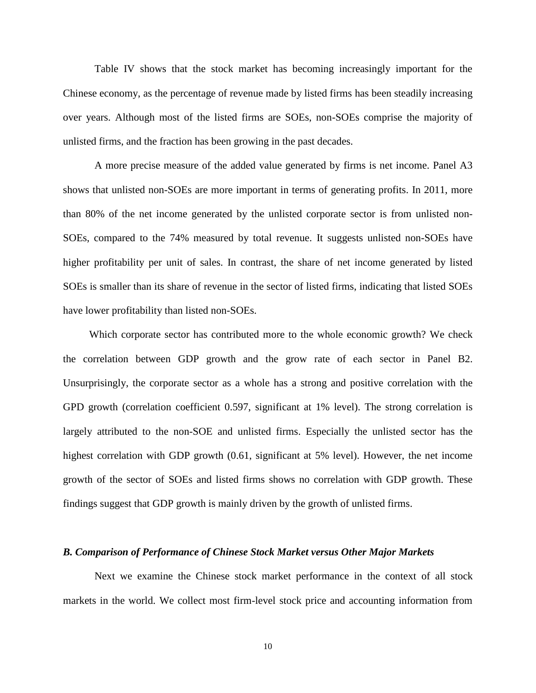Table IV shows that the stock market has becoming increasingly important for the Chinese economy, as the percentage of revenue made by listed firms has been steadily increasing over years. Although most of the listed firms are SOEs, non-SOEs comprise the majority of unlisted firms, and the fraction has been growing in the past decades.

A more precise measure of the added value generated by firms is net income. Panel A3 shows that unlisted non-SOEs are more important in terms of generating profits. In 2011, more than 80% of the net income generated by the unlisted corporate sector is from unlisted non-SOEs, compared to the 74% measured by total revenue. It suggests unlisted non-SOEs have higher profitability per unit of sales. In contrast, the share of net income generated by listed SOEs is smaller than its share of revenue in the sector of listed firms, indicating that listed SOEs have lower profitability than listed non-SOEs.

Which corporate sector has contributed more to the whole economic growth? We check the correlation between GDP growth and the grow rate of each sector in Panel B2. Unsurprisingly, the corporate sector as a whole has a strong and positive correlation with the GPD growth (correlation coefficient 0.597, significant at 1% level). The strong correlation is largely attributed to the non-SOE and unlisted firms. Especially the unlisted sector has the highest correlation with GDP growth (0.61, significant at 5% level). However, the net income growth of the sector of SOEs and listed firms shows no correlation with GDP growth. These findings suggest that GDP growth is mainly driven by the growth of unlisted firms.

### *B. Comparison of Performance of Chinese Stock Market versus Other Major Markets*

Next we examine the Chinese stock market performance in the context of all stock markets in the world. We collect most firm-level stock price and accounting information from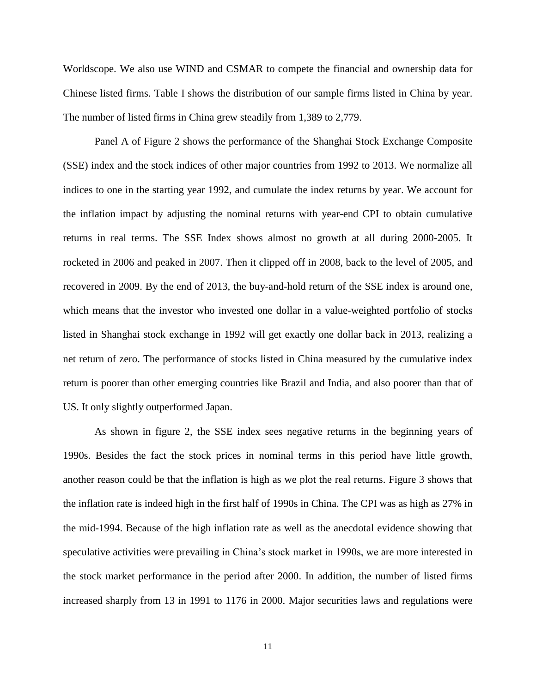Worldscope. We also use WIND and CSMAR to compete the financial and ownership data for Chinese listed firms. Table I shows the distribution of our sample firms listed in China by year. The number of listed firms in China grew steadily from 1,389 to 2,779.

Panel A of Figure 2 shows the performance of the Shanghai Stock Exchange Composite (SSE) index and the stock indices of other major countries from 1992 to 2013. We normalize all indices to one in the starting year 1992, and cumulate the index returns by year. We account for the inflation impact by adjusting the nominal returns with year-end CPI to obtain cumulative returns in real terms. The SSE Index shows almost no growth at all during 2000-2005. It rocketed in 2006 and peaked in 2007. Then it clipped off in 2008, back to the level of 2005, and recovered in 2009. By the end of 2013, the buy-and-hold return of the SSE index is around one, which means that the investor who invested one dollar in a value-weighted portfolio of stocks listed in Shanghai stock exchange in 1992 will get exactly one dollar back in 2013, realizing a net return of zero. The performance of stocks listed in China measured by the cumulative index return is poorer than other emerging countries like Brazil and India, and also poorer than that of US. It only slightly outperformed Japan.

As shown in figure 2, the SSE index sees negative returns in the beginning years of 1990s. Besides the fact the stock prices in nominal terms in this period have little growth, another reason could be that the inflation is high as we plot the real returns. Figure 3 shows that the inflation rate is indeed high in the first half of 1990s in China. The CPI was as high as 27% in the mid-1994. Because of the high inflation rate as well as the anecdotal evidence showing that speculative activities were prevailing in China's stock market in 1990s, we are more interested in the stock market performance in the period after 2000. In addition, the number of listed firms increased sharply from 13 in 1991 to 1176 in 2000. Major securities laws and regulations were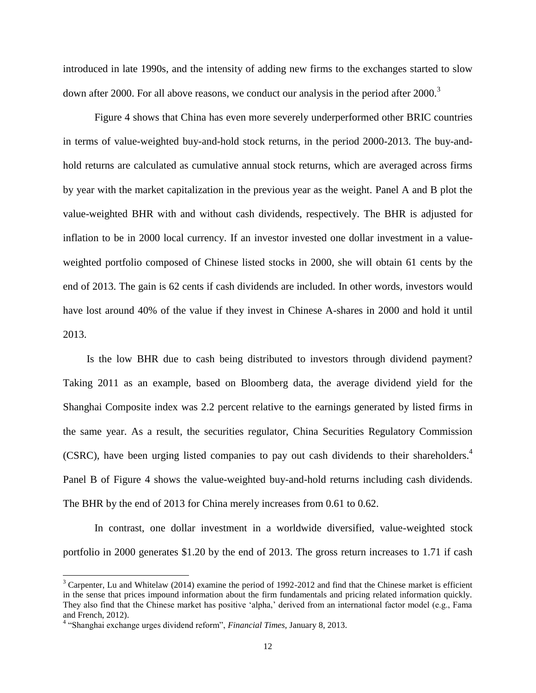introduced in late 1990s, and the intensity of adding new firms to the exchanges started to slow down after 2000. For all above reasons, we conduct our analysis in the period after 2000.<sup>3</sup>

 Figure 4 shows that China has even more severely underperformed other BRIC countries in terms of value-weighted buy-and-hold stock returns, in the period 2000-2013. The buy-andhold returns are calculated as cumulative annual stock returns, which are averaged across firms by year with the market capitalization in the previous year as the weight. Panel A and B plot the value-weighted BHR with and without cash dividends, respectively. The BHR is adjusted for inflation to be in 2000 local currency. If an investor invested one dollar investment in a valueweighted portfolio composed of Chinese listed stocks in 2000, she will obtain 61 cents by the end of 2013. The gain is 62 cents if cash dividends are included. In other words, investors would have lost around 40% of the value if they invest in Chinese A-shares in 2000 and hold it until 2013.

Is the low BHR due to cash being distributed to investors through dividend payment? Taking 2011 as an example, based on Bloomberg data, the average dividend yield for the Shanghai Composite index was 2.2 percent relative to the earnings generated by listed firms in the same year. As a result, the securities regulator, China Securities Regulatory Commission (CSRC), have been urging listed companies to pay out cash dividends to their shareholders.<sup>4</sup> Panel B of Figure 4 shows the value-weighted buy-and-hold returns including cash dividends. The BHR by the end of 2013 for China merely increases from 0.61 to 0.62.

In contrast, one dollar investment in a worldwide diversified, value-weighted stock portfolio in 2000 generates \$1.20 by the end of 2013. The gross return increases to 1.71 if cash

 $\overline{a}$ 

 $3$  Carpenter, Lu and Whitelaw (2014) examine the period of 1992-2012 and find that the Chinese market is efficient in the sense that prices impound information about the firm fundamentals and pricing related information quickly. They also find that the Chinese market has positive 'alpha,' derived from an international factor model (e.g., Fama and French, 2012).

<sup>4</sup> "Shanghai exchange urges dividend reform", *Financial Times*, January 8, 2013.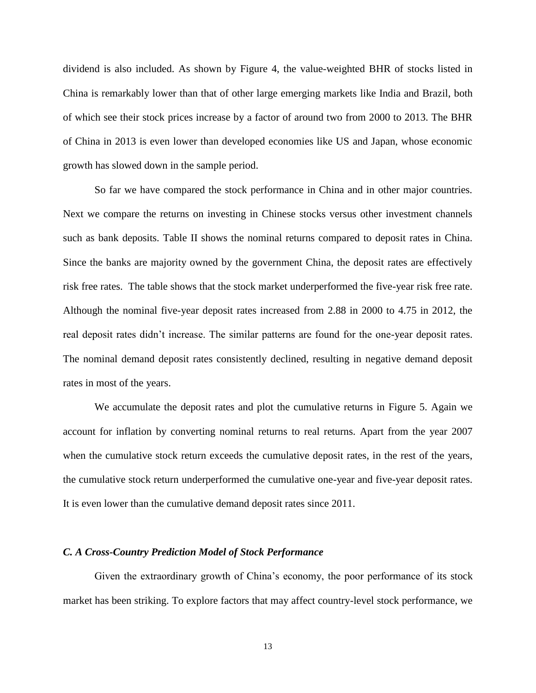dividend is also included. As shown by Figure 4, the value-weighted BHR of stocks listed in China is remarkably lower than that of other large emerging markets like India and Brazil, both of which see their stock prices increase by a factor of around two from 2000 to 2013. The BHR of China in 2013 is even lower than developed economies like US and Japan, whose economic growth has slowed down in the sample period.

So far we have compared the stock performance in China and in other major countries. Next we compare the returns on investing in Chinese stocks versus other investment channels such as bank deposits. Table II shows the nominal returns compared to deposit rates in China. Since the banks are majority owned by the government China, the deposit rates are effectively risk free rates. The table shows that the stock market underperformed the five-year risk free rate. Although the nominal five-year deposit rates increased from 2.88 in 2000 to 4.75 in 2012, the real deposit rates didn't increase. The similar patterns are found for the one-year deposit rates. The nominal demand deposit rates consistently declined, resulting in negative demand deposit rates in most of the years.

We accumulate the deposit rates and plot the cumulative returns in Figure 5. Again we account for inflation by converting nominal returns to real returns. Apart from the year 2007 when the cumulative stock return exceeds the cumulative deposit rates, in the rest of the years, the cumulative stock return underperformed the cumulative one-year and five-year deposit rates. It is even lower than the cumulative demand deposit rates since 2011.

## *C. A Cross-Country Prediction Model of Stock Performance*

Given the extraordinary growth of China's economy, the poor performance of its stock market has been striking. To explore factors that may affect country-level stock performance, we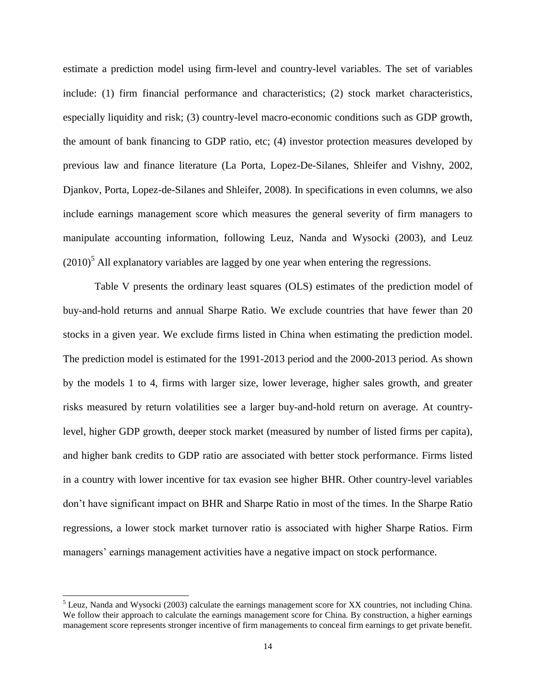estimate a prediction model using firm-level and country-level variables. The set of variables include: (1) firm financial performance and characteristics; (2) stock market characteristics, especially liquidity and risk; (3) country-level macro-economic conditions such as GDP growth, the amount of bank financing to GDP ratio, etc; (4) investor protection measures developed by previous law and finance literature (La Porta, Lopez-De-Silanes, Shleifer and Vishny, 2002, Djankov, Porta, Lopez-de-Silanes and Shleifer, 2008). In specifications in even columns, we also include earnings management score which measures the general severity of firm managers to manipulate accounting information, following Leuz, Nanda and Wysocki (2003), and Leuz  $(2010)^5$  All explanatory variables are lagged by one year when entering the regressions.

 Table V presents the ordinary least squares (OLS) estimates of the prediction model of buy-and-hold returns and annual Sharpe Ratio. We exclude countries that have fewer than 20 stocks in a given year. We exclude firms listed in China when estimating the prediction model. The prediction model is estimated for the 1991-2013 period and the 2000-2013 period. As shown by the models 1 to 4, firms with larger size, lower leverage, higher sales growth, and greater risks measured by return volatilities see a larger buy-and-hold return on average. At countrylevel, higher GDP growth, deeper stock market (measured by number of listed firms per capita), and higher bank credits to GDP ratio are associated with better stock performance. Firms listed in a country with lower incentive for tax evasion see higher BHR. Other country-level variables don't have significant impact on BHR and Sharpe Ratio in most of the times. In the Sharpe Ratio regressions, a lower stock market turnover ratio is associated with higher Sharpe Ratios. Firm managers' earnings management activities have a negative impact on stock performance.

l

<sup>&</sup>lt;sup>5</sup> Leuz, Nanda and Wysocki (2003) calculate the earnings management score for XX countries, not including China. We follow their approach to calculate the earnings management score for China. By construction, a higher earnings management score represents stronger incentive of firm managements to conceal firm earnings to get private benefit.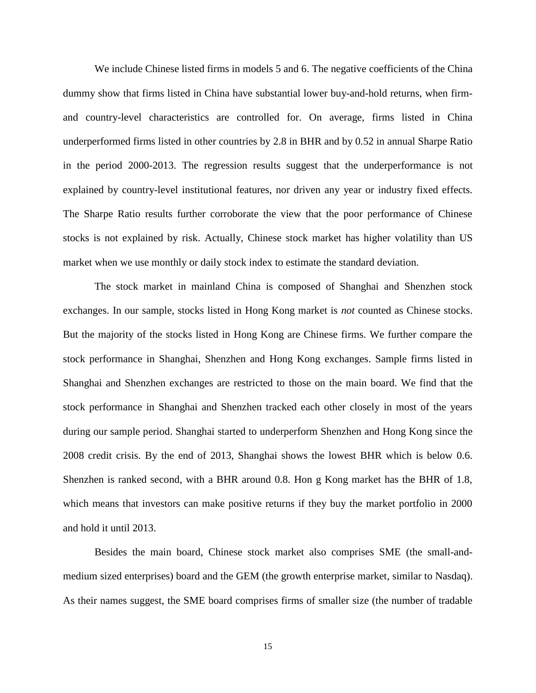We include Chinese listed firms in models 5 and 6. The negative coefficients of the China dummy show that firms listed in China have substantial lower buy-and-hold returns, when firmand country-level characteristics are controlled for. On average, firms listed in China underperformed firms listed in other countries by 2.8 in BHR and by 0.52 in annual Sharpe Ratio in the period 2000-2013. The regression results suggest that the underperformance is not explained by country-level institutional features, nor driven any year or industry fixed effects. The Sharpe Ratio results further corroborate the view that the poor performance of Chinese stocks is not explained by risk. Actually, Chinese stock market has higher volatility than US market when we use monthly or daily stock index to estimate the standard deviation.

The stock market in mainland China is composed of Shanghai and Shenzhen stock exchanges. In our sample, stocks listed in Hong Kong market is *not* counted as Chinese stocks. But the majority of the stocks listed in Hong Kong are Chinese firms. We further compare the stock performance in Shanghai, Shenzhen and Hong Kong exchanges. Sample firms listed in Shanghai and Shenzhen exchanges are restricted to those on the main board. We find that the stock performance in Shanghai and Shenzhen tracked each other closely in most of the years during our sample period. Shanghai started to underperform Shenzhen and Hong Kong since the 2008 credit crisis. By the end of 2013, Shanghai shows the lowest BHR which is below 0.6. Shenzhen is ranked second, with a BHR around 0.8. Hon g Kong market has the BHR of 1.8, which means that investors can make positive returns if they buy the market portfolio in 2000 and hold it until 2013.

Besides the main board, Chinese stock market also comprises SME (the small-andmedium sized enterprises) board and the GEM (the growth enterprise market, similar to Nasdaq). As their names suggest, the SME board comprises firms of smaller size (the number of tradable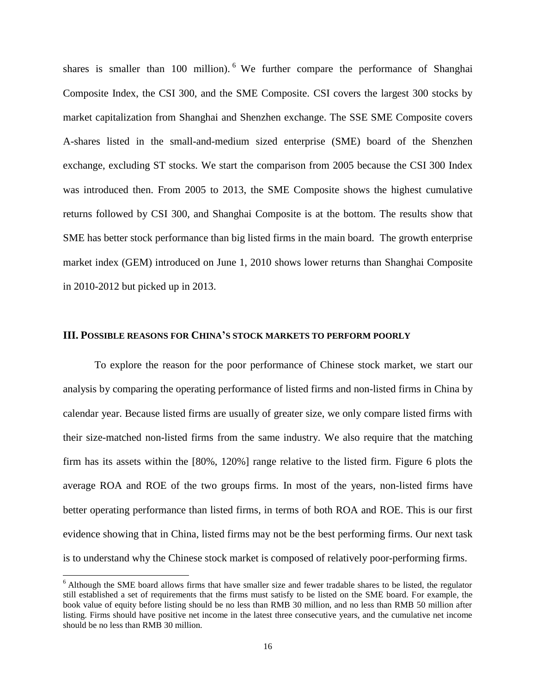shares is smaller than 100 million). <sup>6</sup> We further compare the performance of Shanghai Composite Index, the CSI 300, and the SME Composite. CSI covers the largest 300 stocks by market capitalization from Shanghai and Shenzhen exchange. The SSE SME Composite covers A-shares listed in the small-and-medium sized enterprise (SME) board of the Shenzhen exchange, excluding ST stocks. We start the comparison from 2005 because the CSI 300 Index was introduced then. From 2005 to 2013, the SME Composite shows the highest cumulative returns followed by CSI 300, and Shanghai Composite is at the bottom. The results show that SME has better stock performance than big listed firms in the main board. The growth enterprise market index (GEM) introduced on June 1, 2010 shows lower returns than Shanghai Composite in 2010-2012 but picked up in 2013.

## **III. POSSIBLE REASONS FOR CHINA'S STOCK MARKETS TO PERFORM POORLY**

To explore the reason for the poor performance of Chinese stock market, we start our analysis by comparing the operating performance of listed firms and non-listed firms in China by calendar year. Because listed firms are usually of greater size, we only compare listed firms with their size-matched non-listed firms from the same industry. We also require that the matching firm has its assets within the [80%, 120%] range relative to the listed firm. Figure 6 plots the average ROA and ROE of the two groups firms. In most of the years, non-listed firms have better operating performance than listed firms, in terms of both ROA and ROE. This is our first evidence showing that in China, listed firms may not be the best performing firms. Our next task is to understand why the Chinese stock market is composed of relatively poor-performing firms.

 $\overline{a}$ 

<sup>&</sup>lt;sup>6</sup> Although the SME board allows firms that have smaller size and fewer tradable shares to be listed, the regulator still established a set of requirements that the firms must satisfy to be listed on the SME board. For example, the book value of equity before listing should be no less than RMB 30 million, and no less than RMB 50 million after listing. Firms should have positive net income in the latest three consecutive years, and the cumulative net income should be no less than RMB 30 million.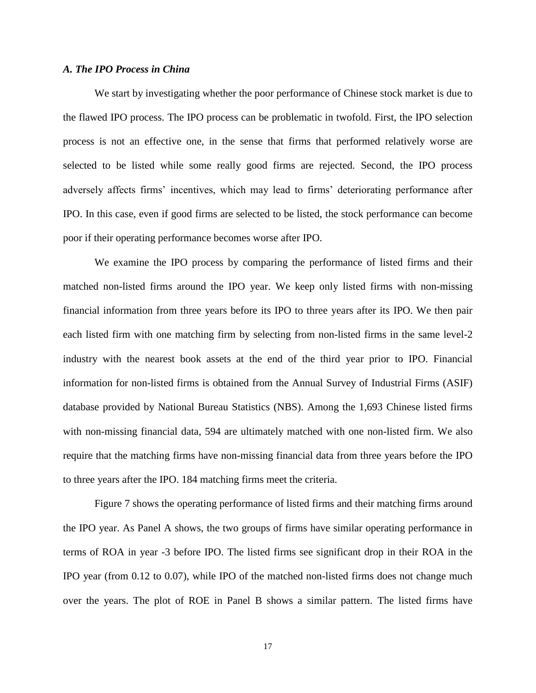# *A. The IPO Process in China*

 We start by investigating whether the poor performance of Chinese stock market is due to the flawed IPO process. The IPO process can be problematic in twofold. First, the IPO selection process is not an effective one, in the sense that firms that performed relatively worse are selected to be listed while some really good firms are rejected. Second, the IPO process adversely affects firms' incentives, which may lead to firms' deteriorating performance after IPO. In this case, even if good firms are selected to be listed, the stock performance can become poor if their operating performance becomes worse after IPO.

We examine the IPO process by comparing the performance of listed firms and their matched non-listed firms around the IPO year. We keep only listed firms with non-missing financial information from three years before its IPO to three years after its IPO. We then pair each listed firm with one matching firm by selecting from non-listed firms in the same level-2 industry with the nearest book assets at the end of the third year prior to IPO. Financial information for non-listed firms is obtained from the Annual Survey of Industrial Firms (ASIF) database provided by National Bureau Statistics (NBS). Among the 1,693 Chinese listed firms with non-missing financial data, 594 are ultimately matched with one non-listed firm. We also require that the matching firms have non-missing financial data from three years before the IPO to three years after the IPO. 184 matching firms meet the criteria.

Figure 7 shows the operating performance of listed firms and their matching firms around the IPO year. As Panel A shows, the two groups of firms have similar operating performance in terms of ROA in year -3 before IPO. The listed firms see significant drop in their ROA in the IPO year (from 0.12 to 0.07), while IPO of the matched non-listed firms does not change much over the years. The plot of ROE in Panel B shows a similar pattern. The listed firms have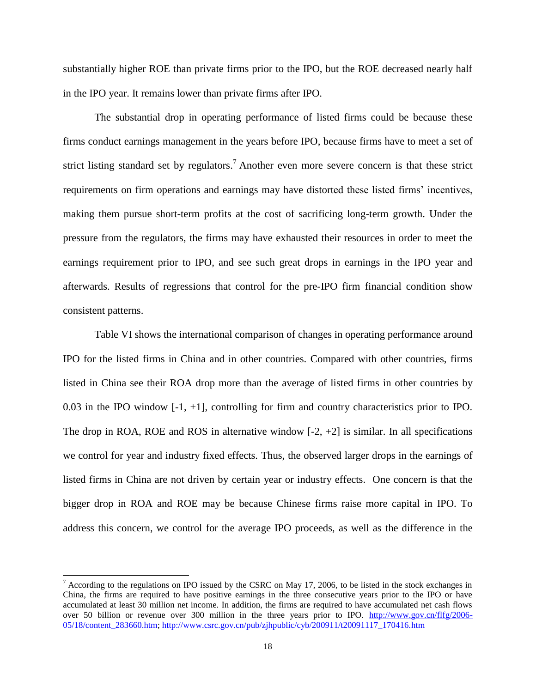substantially higher ROE than private firms prior to the IPO, but the ROE decreased nearly half in the IPO year. It remains lower than private firms after IPO.

The substantial drop in operating performance of listed firms could be because these firms conduct earnings management in the years before IPO, because firms have to meet a set of strict listing standard set by regulators.<sup>7</sup> Another even more severe concern is that these strict requirements on firm operations and earnings may have distorted these listed firms' incentives, making them pursue short-term profits at the cost of sacrificing long-term growth. Under the pressure from the regulators, the firms may have exhausted their resources in order to meet the earnings requirement prior to IPO, and see such great drops in earnings in the IPO year and afterwards. Results of regressions that control for the pre-IPO firm financial condition show consistent patterns.

Table VI shows the international comparison of changes in operating performance around IPO for the listed firms in China and in other countries. Compared with other countries, firms listed in China see their ROA drop more than the average of listed firms in other countries by 0.03 in the IPO window [-1, +1], controlling for firm and country characteristics prior to IPO. The drop in ROA, ROE and ROS in alternative window  $[-2, +2]$  is similar. In all specifications we control for year and industry fixed effects. Thus, the observed larger drops in the earnings of listed firms in China are not driven by certain year or industry effects. One concern is that the bigger drop in ROA and ROE may be because Chinese firms raise more capital in IPO. To address this concern, we control for the average IPO proceeds, as well as the difference in the

 $\overline{a}$ 

 $<sup>7</sup>$  According to the regulations on IPO issued by the CSRC on May 17, 2006, to be listed in the stock exchanges in</sup> China, the firms are required to have positive earnings in the three consecutive years prior to the IPO or have accumulated at least 30 million net income. In addition, the firms are required to have accumulated net cash flows over 50 billion or revenue over 300 million in the three years prior to IPO. [http://www.gov.cn/flfg/2006-](https://mail.saif.sjtu.edu.cn/owa/redir.aspx?C=rqW0QzBHOUeSGOr0SMfRCFfFulQ_Y9EIKNyXQ9SqLgiqfBEbtqNmWJDbGieK7zPMuh0WD5SVVhQ.&URL=http%3a%2f%2fwww.gov.cn%2fflfg%2f2006-05%2f18%2fcontent_283660.htm) [05/18/content\\_283660.htm;](https://mail.saif.sjtu.edu.cn/owa/redir.aspx?C=rqW0QzBHOUeSGOr0SMfRCFfFulQ_Y9EIKNyXQ9SqLgiqfBEbtqNmWJDbGieK7zPMuh0WD5SVVhQ.&URL=http%3a%2f%2fwww.gov.cn%2fflfg%2f2006-05%2f18%2fcontent_283660.htm) [http://www.csrc.gov.cn/pub/zjhpublic/cyb/200911/t20091117\\_170416.htm](https://mail.saif.sjtu.edu.cn/owa/redir.aspx?C=rqW0QzBHOUeSGOr0SMfRCFfFulQ_Y9EIKNyXQ9SqLgiqfBEbtqNmWJDbGieK7zPMuh0WD5SVVhQ.&URL=http%3a%2f%2fwww.csrc.gov.cn%2fpub%2fzjhpublic%2fcyb%2f200911%2ft20091117_170416.htm)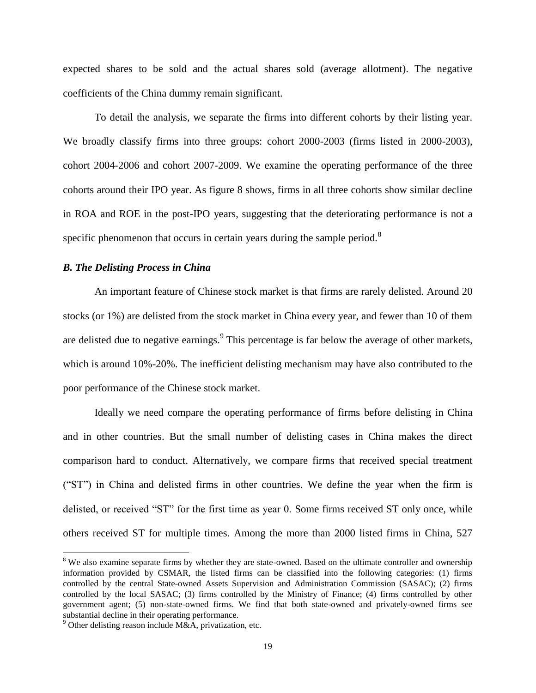expected shares to be sold and the actual shares sold (average allotment). The negative coefficients of the China dummy remain significant.

To detail the analysis, we separate the firms into different cohorts by their listing year. We broadly classify firms into three groups: cohort 2000-2003 (firms listed in 2000-2003), cohort 2004-2006 and cohort 2007-2009. We examine the operating performance of the three cohorts around their IPO year. As figure 8 shows, firms in all three cohorts show similar decline in ROA and ROE in the post-IPO years, suggesting that the deteriorating performance is not a specific phenomenon that occurs in certain years during the sample period.<sup>8</sup>

# *B. The Delisting Process in China*

An important feature of Chinese stock market is that firms are rarely delisted. Around 20 stocks (or 1%) are delisted from the stock market in China every year, and fewer than 10 of them are delisted due to negative earnings.  $9$  This percentage is far below the average of other markets, which is around 10%-20%. The inefficient delisting mechanism may have also contributed to the poor performance of the Chinese stock market.

Ideally we need compare the operating performance of firms before delisting in China and in other countries. But the small number of delisting cases in China makes the direct comparison hard to conduct. Alternatively, we compare firms that received special treatment ("ST") in China and delisted firms in other countries. We define the year when the firm is delisted, or received "ST" for the first time as year 0. Some firms received ST only once, while others received ST for multiple times. Among the more than 2000 listed firms in China, 527

 $\overline{a}$ 

<sup>&</sup>lt;sup>8</sup> We also examine separate firms by whether they are state-owned. Based on the ultimate controller and ownership information provided by CSMAR, the listed firms can be classified into the following categories: (1) firms controlled by the central State-owned Assets Supervision and Administration Commission (SASAC); (2) firms controlled by the local SASAC; (3) firms controlled by the Ministry of Finance; (4) firms controlled by other government agent; (5) non-state-owned firms. We find that both state-owned and privately-owned firms see substantial decline in their operating performance.

 $9$  Other delisting reason include M&A, privatization, etc.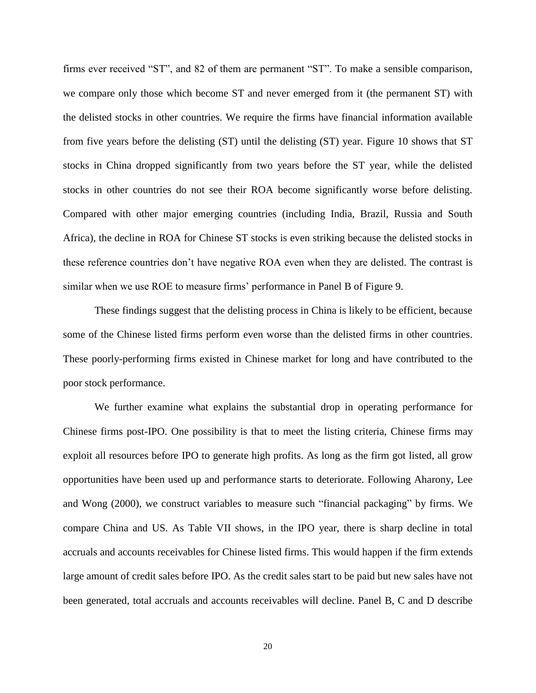firms ever received "ST", and 82 of them are permanent "ST". To make a sensible comparison, we compare only those which become ST and never emerged from it (the permanent ST) with the delisted stocks in other countries. We require the firms have financial information available from five years before the delisting (ST) until the delisting (ST) year. Figure 10 shows that ST stocks in China dropped significantly from two years before the ST year, while the delisted stocks in other countries do not see their ROA become significantly worse before delisting. Compared with other major emerging countries (including India, Brazil, Russia and South Africa), the decline in ROA for Chinese ST stocks is even striking because the delisted stocks in these reference countries don't have negative ROA even when they are delisted. The contrast is similar when we use ROE to measure firms' performance in Panel B of Figure 9.

These findings suggest that the delisting process in China is likely to be efficient, because some of the Chinese listed firms perform even worse than the delisted firms in other countries. These poorly-performing firms existed in Chinese market for long and have contributed to the poor stock performance.

We further examine what explains the substantial drop in operating performance for Chinese firms post-IPO. One possibility is that to meet the listing criteria, Chinese firms may exploit all resources before IPO to generate high profits. As long as the firm got listed, all grow opportunities have been used up and performance starts to deteriorate. Following Aharony, Lee and Wong (2000), we construct variables to measure such "financial packaging" by firms. We compare China and US. As Table VII shows, in the IPO year, there is sharp decline in total accruals and accounts receivables for Chinese listed firms. This would happen if the firm extends large amount of credit sales before IPO. As the credit sales start to be paid but new sales have not been generated, total accruals and accounts receivables will decline. Panel B, C and D describe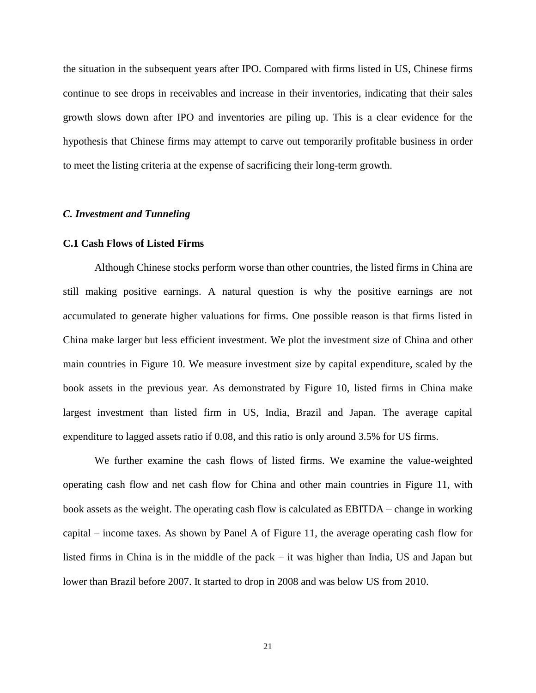the situation in the subsequent years after IPO. Compared with firms listed in US, Chinese firms continue to see drops in receivables and increase in their inventories, indicating that their sales growth slows down after IPO and inventories are piling up. This is a clear evidence for the hypothesis that Chinese firms may attempt to carve out temporarily profitable business in order to meet the listing criteria at the expense of sacrificing their long-term growth.

## *C. Investment and Tunneling*

## **C.1 Cash Flows of Listed Firms**

Although Chinese stocks perform worse than other countries, the listed firms in China are still making positive earnings. A natural question is why the positive earnings are not accumulated to generate higher valuations for firms. One possible reason is that firms listed in China make larger but less efficient investment. We plot the investment size of China and other main countries in Figure 10. We measure investment size by capital expenditure, scaled by the book assets in the previous year. As demonstrated by Figure 10, listed firms in China make largest investment than listed firm in US, India, Brazil and Japan. The average capital expenditure to lagged assets ratio if 0.08, and this ratio is only around 3.5% for US firms.

We further examine the cash flows of listed firms. We examine the value-weighted operating cash flow and net cash flow for China and other main countries in Figure 11, with book assets as the weight. The operating cash flow is calculated as EBITDA – change in working capital – income taxes. As shown by Panel A of Figure 11, the average operating cash flow for listed firms in China is in the middle of the pack – it was higher than India, US and Japan but lower than Brazil before 2007. It started to drop in 2008 and was below US from 2010.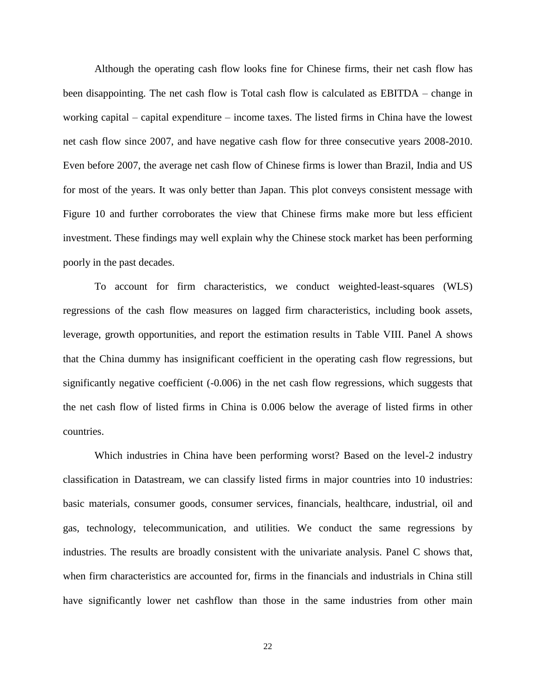Although the operating cash flow looks fine for Chinese firms, their net cash flow has been disappointing. The net cash flow is Total cash flow is calculated as EBITDA – change in working capital – capital expenditure – income taxes. The listed firms in China have the lowest net cash flow since 2007, and have negative cash flow for three consecutive years 2008-2010. Even before 2007, the average net cash flow of Chinese firms is lower than Brazil, India and US for most of the years. It was only better than Japan. This plot conveys consistent message with Figure 10 and further corroborates the view that Chinese firms make more but less efficient investment. These findings may well explain why the Chinese stock market has been performing poorly in the past decades.

To account for firm characteristics, we conduct weighted-least-squares (WLS) regressions of the cash flow measures on lagged firm characteristics, including book assets, leverage, growth opportunities, and report the estimation results in Table VIII. Panel A shows that the China dummy has insignificant coefficient in the operating cash flow regressions, but significantly negative coefficient (-0.006) in the net cash flow regressions, which suggests that the net cash flow of listed firms in China is 0.006 below the average of listed firms in other countries.

Which industries in China have been performing worst? Based on the level-2 industry classification in Datastream, we can classify listed firms in major countries into 10 industries: basic materials, consumer goods, consumer services, financials, healthcare, industrial, oil and gas, technology, telecommunication, and utilities. We conduct the same regressions by industries. The results are broadly consistent with the univariate analysis. Panel C shows that, when firm characteristics are accounted for, firms in the financials and industrials in China still have significantly lower net cashflow than those in the same industries from other main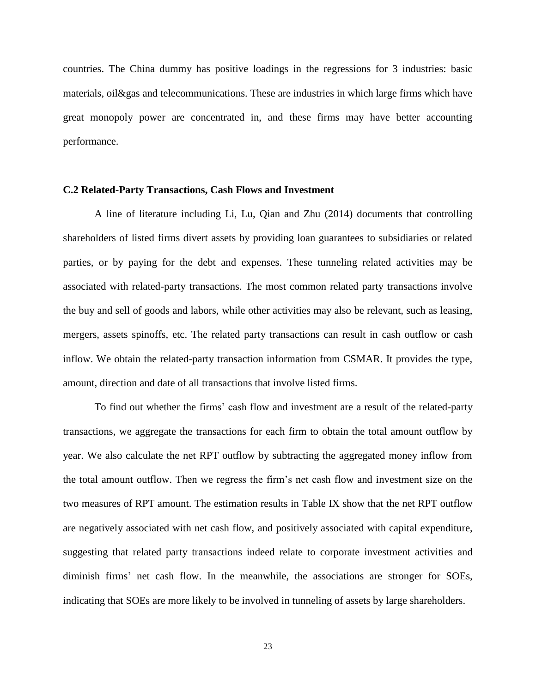countries. The China dummy has positive loadings in the regressions for 3 industries: basic materials, oil&gas and telecommunications. These are industries in which large firms which have great monopoly power are concentrated in, and these firms may have better accounting performance.

# **C.2 Related-Party Transactions, Cash Flows and Investment**

A line of literature including Li, Lu, Qian and Zhu (2014) documents that controlling shareholders of listed firms divert assets by providing loan guarantees to subsidiaries or related parties, or by paying for the debt and expenses. These tunneling related activities may be associated with related-party transactions. The most common related party transactions involve the buy and sell of goods and labors, while other activities may also be relevant, such as leasing, mergers, assets spinoffs, etc. The related party transactions can result in cash outflow or cash inflow. We obtain the related-party transaction information from CSMAR. It provides the type, amount, direction and date of all transactions that involve listed firms.

To find out whether the firms' cash flow and investment are a result of the related-party transactions, we aggregate the transactions for each firm to obtain the total amount outflow by year. We also calculate the net RPT outflow by subtracting the aggregated money inflow from the total amount outflow. Then we regress the firm's net cash flow and investment size on the two measures of RPT amount. The estimation results in Table IX show that the net RPT outflow are negatively associated with net cash flow, and positively associated with capital expenditure, suggesting that related party transactions indeed relate to corporate investment activities and diminish firms' net cash flow. In the meanwhile, the associations are stronger for SOEs, indicating that SOEs are more likely to be involved in tunneling of assets by large shareholders.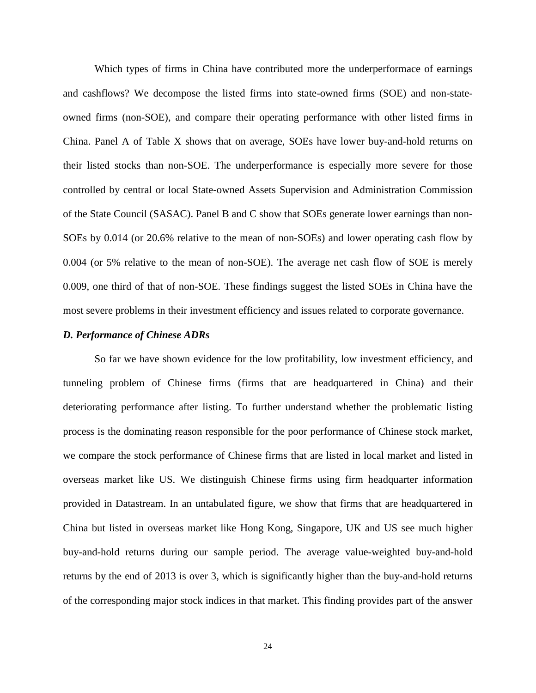Which types of firms in China have contributed more the underperformace of earnings and cashflows? We decompose the listed firms into state-owned firms (SOE) and non-stateowned firms (non-SOE), and compare their operating performance with other listed firms in China. Panel A of Table X shows that on average, SOEs have lower buy-and-hold returns on their listed stocks than non-SOE. The underperformance is especially more severe for those controlled by central or local State-owned Assets Supervision and Administration Commission of the State Council (SASAC). Panel B and C show that SOEs generate lower earnings than non-SOEs by 0.014 (or 20.6% relative to the mean of non-SOEs) and lower operating cash flow by 0.004 (or 5% relative to the mean of non-SOE). The average net cash flow of SOE is merely 0.009, one third of that of non-SOE. These findings suggest the listed SOEs in China have the most severe problems in their investment efficiency and issues related to corporate governance.

# *D. Performance of Chinese ADRs*

So far we have shown evidence for the low profitability, low investment efficiency, and tunneling problem of Chinese firms (firms that are headquartered in China) and their deteriorating performance after listing. To further understand whether the problematic listing process is the dominating reason responsible for the poor performance of Chinese stock market, we compare the stock performance of Chinese firms that are listed in local market and listed in overseas market like US. We distinguish Chinese firms using firm headquarter information provided in Datastream. In an untabulated figure, we show that firms that are headquartered in China but listed in overseas market like Hong Kong, Singapore, UK and US see much higher buy-and-hold returns during our sample period. The average value-weighted buy-and-hold returns by the end of 2013 is over 3, which is significantly higher than the buy-and-hold returns of the corresponding major stock indices in that market. This finding provides part of the answer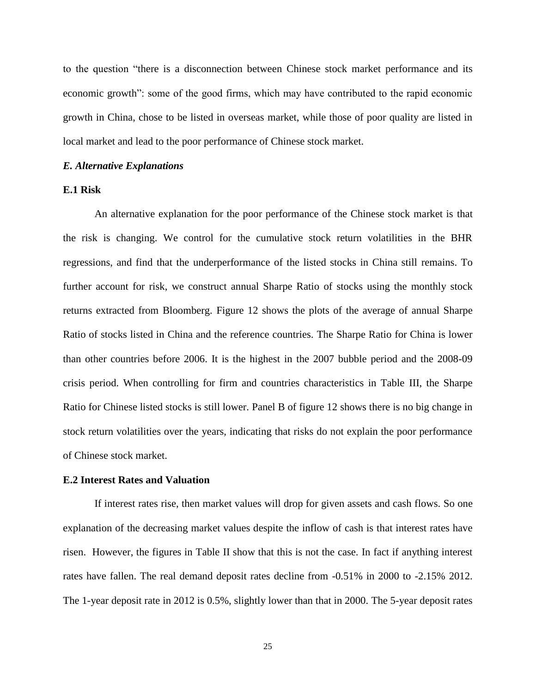to the question "there is a disconnection between Chinese stock market performance and its economic growth": some of the good firms, which may have contributed to the rapid economic growth in China, chose to be listed in overseas market, while those of poor quality are listed in local market and lead to the poor performance of Chinese stock market.

## *E. Alternative Explanations*

# **E.1 Risk**

An alternative explanation for the poor performance of the Chinese stock market is that the risk is changing. We control for the cumulative stock return volatilities in the BHR regressions, and find that the underperformance of the listed stocks in China still remains. To further account for risk, we construct annual Sharpe Ratio of stocks using the monthly stock returns extracted from Bloomberg. Figure 12 shows the plots of the average of annual Sharpe Ratio of stocks listed in China and the reference countries. The Sharpe Ratio for China is lower than other countries before 2006. It is the highest in the 2007 bubble period and the 2008-09 crisis period. When controlling for firm and countries characteristics in Table III, the Sharpe Ratio for Chinese listed stocks is still lower. Panel B of figure 12 shows there is no big change in stock return volatilities over the years, indicating that risks do not explain the poor performance of Chinese stock market.

## **E.2 Interest Rates and Valuation**

If interest rates rise, then market values will drop for given assets and cash flows. So one explanation of the decreasing market values despite the inflow of cash is that interest rates have risen. However, the figures in Table II show that this is not the case. In fact if anything interest rates have fallen. The real demand deposit rates decline from -0.51% in 2000 to -2.15% 2012. The 1-year deposit rate in 2012 is 0.5%, slightly lower than that in 2000. The 5-year deposit rates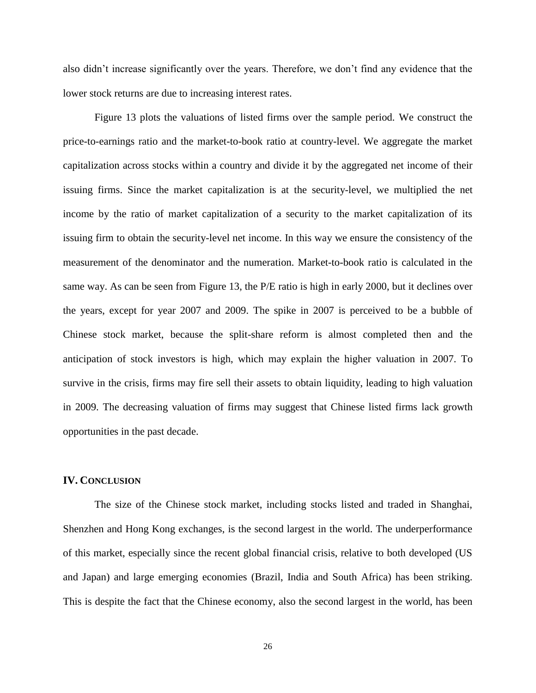also didn't increase significantly over the years. Therefore, we don't find any evidence that the lower stock returns are due to increasing interest rates.

Figure 13 plots the valuations of listed firms over the sample period. We construct the price-to-earnings ratio and the market-to-book ratio at country-level. We aggregate the market capitalization across stocks within a country and divide it by the aggregated net income of their issuing firms. Since the market capitalization is at the security-level, we multiplied the net income by the ratio of market capitalization of a security to the market capitalization of its issuing firm to obtain the security-level net income. In this way we ensure the consistency of the measurement of the denominator and the numeration. Market-to-book ratio is calculated in the same way. As can be seen from Figure 13, the P/E ratio is high in early 2000, but it declines over the years, except for year 2007 and 2009. The spike in 2007 is perceived to be a bubble of Chinese stock market, because the split-share reform is almost completed then and the anticipation of stock investors is high, which may explain the higher valuation in 2007. To survive in the crisis, firms may fire sell their assets to obtain liquidity, leading to high valuation in 2009. The decreasing valuation of firms may suggest that Chinese listed firms lack growth opportunities in the past decade.

# **IV. CONCLUSION**

 The size of the Chinese stock market, including stocks listed and traded in Shanghai, Shenzhen and Hong Kong exchanges, is the second largest in the world. The underperformance of this market, especially since the recent global financial crisis, relative to both developed (US and Japan) and large emerging economies (Brazil, India and South Africa) has been striking. This is despite the fact that the Chinese economy, also the second largest in the world, has been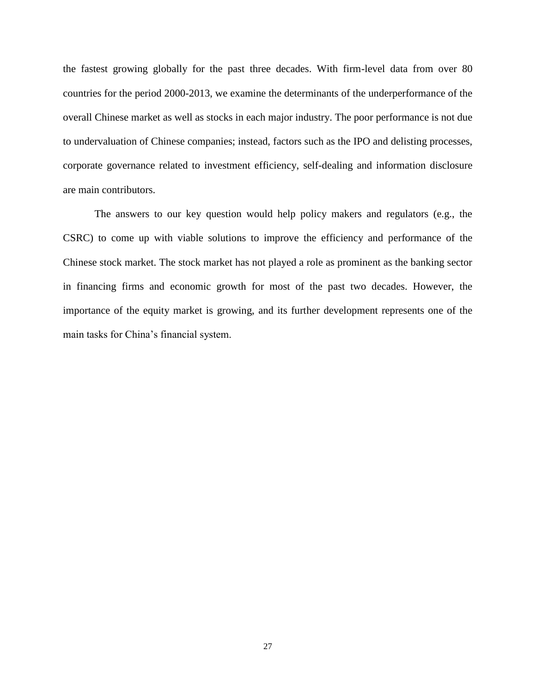the fastest growing globally for the past three decades. With firm-level data from over 80 countries for the period 2000-2013, we examine the determinants of the underperformance of the overall Chinese market as well as stocks in each major industry. The poor performance is not due to undervaluation of Chinese companies; instead, factors such as the IPO and delisting processes, corporate governance related to investment efficiency, self-dealing and information disclosure are main contributors.

 The answers to our key question would help policy makers and regulators (e.g., the CSRC) to come up with viable solutions to improve the efficiency and performance of the Chinese stock market. The stock market has not played a role as prominent as the banking sector in financing firms and economic growth for most of the past two decades. However, the importance of the equity market is growing, and its further development represents one of the main tasks for China's financial system.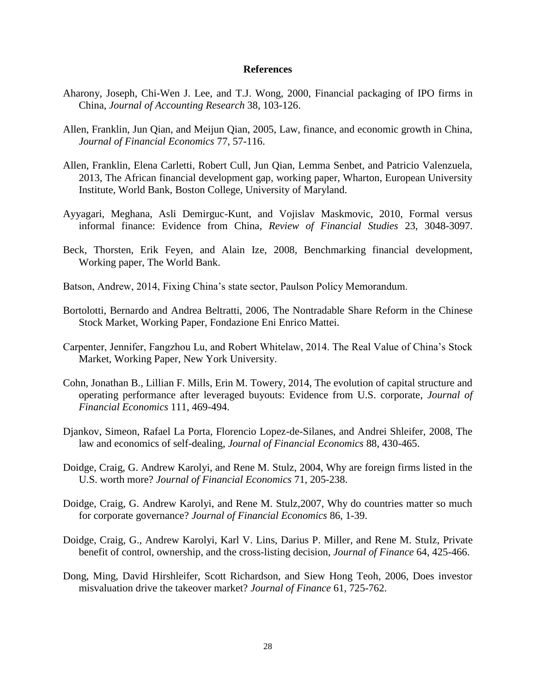## **References**

- Aharony, Joseph, Chi-Wen J. Lee, and T.J. Wong, 2000, Financial packaging of IPO firms in China, *Journal of Accounting Research* 38, 103-126.
- Allen, Franklin, Jun Qian, and Meijun Qian, 2005, Law, finance, and economic growth in China, *Journal of Financial Economics* 77, 57-116.
- Allen, Franklin, Elena Carletti, Robert Cull, Jun Qian, Lemma Senbet, and Patricio Valenzuela, 2013, The African financial development gap, working paper, Wharton, European University Institute, World Bank, Boston College, University of Maryland.
- Ayyagari, Meghana, Asli Demirguc-Kunt, and Vojislav Maskmovic, 2010, Formal versus informal finance: Evidence from China, *Review of Financial Studies* 23, 3048-3097.
- Beck, Thorsten, Erik Feyen, and Alain Ize, 2008, Benchmarking financial development, Working paper, The World Bank.
- Batson, Andrew, 2014, Fixing China's state sector, Paulson Policy Memorandum.
- Bortolotti, Bernardo and Andrea Beltratti, 2006, [The Nontradable Share Reform in the Chinese](http://ideas.repec.org/p/fem/femwpa/2006.131.html)  [Stock Market,](http://ideas.repec.org/p/fem/femwpa/2006.131.html) [Working Paper,](http://ideas.repec.org/s/fem/femwpa.html) Fondazione Eni Enrico Mattei.
- Carpenter, Jennifer, Fangzhou Lu, and Robert Whitelaw, 2014. The Real Value of China's Stock Market, Working Paper, New York University.
- Cohn, Jonathan B., Lillian F. Mills, Erin M. Towery, 2014, The evolution of capital structure and operating performance after leveraged buyouts: Evidence from U.S. corporate, *Journal of Financial Economics* 111, 469-494.
- Djankov, Simeon, Rafael La Porta, Florencio Lopez-de-Silanes, and Andrei Shleifer, 2008, The law and economics of self-dealing, *Journal of Financial Economics* 88, 430-465.
- Doidge, Craig, G. Andrew Karolyi, and Rene M. Stulz, 2004, Why are foreign firms listed in the U.S. worth more? *Journal of Financial Economics* 71, 205-238.
- Doidge, Craig, G. Andrew Karolyi, and Rene M. Stulz,2007, Why do countries matter so much for corporate governance? *Journal of Financial Economics* 86, 1-39.
- Doidge, Craig, G., Andrew Karolyi, Karl V. Lins, Darius P. Miller, and Rene M. Stulz, Private benefit of control, ownership, and the cross-listing decision, *Journal of Finance* 64, 425-466.
- Dong, Ming, David Hirshleifer, Scott Richardson, and Siew Hong Teoh, 2006, Does investor misvaluation drive the takeover market? *Journal of Finance* 61, 725-762.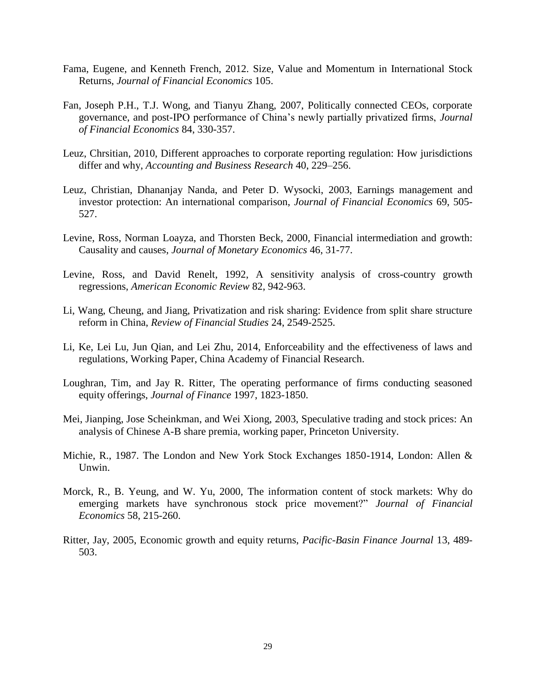- Fama, Eugene, and Kenneth French, 2012. Size, Value and Momentum in International Stock Returns, *Journal of Financial Economics* 105.
- Fan, Joseph P.H., T.J. Wong, and Tianyu Zhang, 2007, Politically connected CEOs, corporate governance, and post-IPO performance of China's newly partially privatized firms, *Journal of Financial Economics* 84, 330-357.
- Leuz, Chrsitian, 2010, Different approaches to corporate reporting regulation: How jurisdictions differ and why, *Accounting and Business Research* 40, 229–256.
- Leuz, Christian, Dhananjay Nanda, and Peter D. Wysocki, 2003, Earnings management and investor protection: An international comparison, *Journal of Financial Economics* 69, 505- 527.
- Levine, Ross, Norman Loayza, and Thorsten Beck, 2000, Financial intermediation and growth: Causality and causes, *Journal of Monetary Economics* 46, 31-77.
- Levine, Ross, and David Renelt, 1992, A sensitivity analysis of cross-country growth regressions, *American Economic Review* 82, 942-963.
- Li, Wang, Cheung, and Jiang, Privatization and risk sharing: Evidence from split share structure reform in China, *Review of Financial Studies* 24, 2549-2525.
- Li, Ke, Lei Lu, Jun Qian, and Lei Zhu, 2014, Enforceability and the effectiveness of laws and regulations, Working Paper, China Academy of Financial Research.
- Loughran, Tim, and Jay R. Ritter, The operating performance of firms conducting seasoned equity offerings, *Journal of Finance* 1997, 1823-1850.
- Mei, Jianping, Jose Scheinkman, and Wei Xiong, 2003, Speculative trading and stock prices: An analysis of Chinese A-B share premia, working paper, Princeton University.
- Michie, R., 1987. The London and New York Stock Exchanges 1850-1914, London: Allen & Unwin.
- Morck, R., B. Yeung, and W. Yu, 2000, The information content of stock markets: Why do emerging markets have synchronous stock price movement?" *Journal of Financial Economics* 58, 215-260.
- Ritter, Jay, 2005, Economic growth and equity returns, *Pacific-Basin Finance Journal* 13, 489- 503.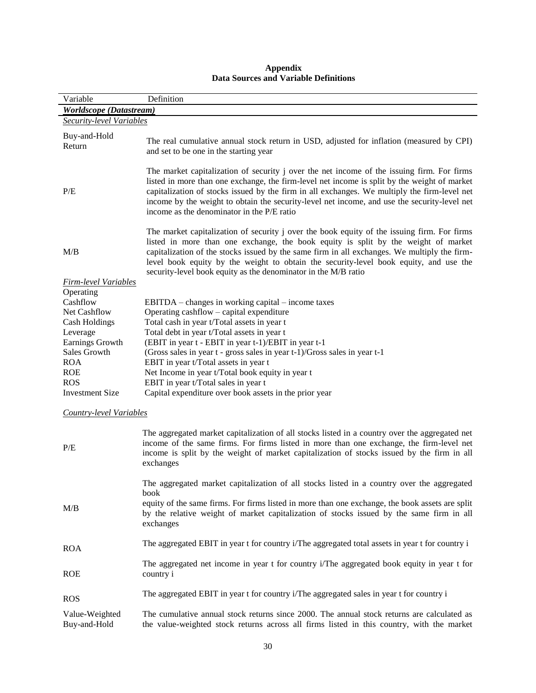| Variable                                                                                                                                                                         | Definition                                                                                                                                                                                                                                                                                                                                                                                                                                                                                                                       |  |  |  |  |  |  |  |  |
|----------------------------------------------------------------------------------------------------------------------------------------------------------------------------------|----------------------------------------------------------------------------------------------------------------------------------------------------------------------------------------------------------------------------------------------------------------------------------------------------------------------------------------------------------------------------------------------------------------------------------------------------------------------------------------------------------------------------------|--|--|--|--|--|--|--|--|
| <b>Worldscope</b> (Datastream)                                                                                                                                                   |                                                                                                                                                                                                                                                                                                                                                                                                                                                                                                                                  |  |  |  |  |  |  |  |  |
|                                                                                                                                                                                  | <b>Security-level Variables</b>                                                                                                                                                                                                                                                                                                                                                                                                                                                                                                  |  |  |  |  |  |  |  |  |
| Buy-and-Hold<br>Return                                                                                                                                                           | The real cumulative annual stock return in USD, adjusted for inflation (measured by CPI)<br>and set to be one in the starting year                                                                                                                                                                                                                                                                                                                                                                                               |  |  |  |  |  |  |  |  |
| P/E                                                                                                                                                                              | The market capitalization of security j over the net income of the issuing firm. For firms<br>listed in more than one exchange, the firm-level net income is split by the weight of market<br>capitalization of stocks issued by the firm in all exchanges. We multiply the firm-level net<br>income by the weight to obtain the security-level net income, and use the security-level net<br>income as the denominator in the P/E ratio                                                                                         |  |  |  |  |  |  |  |  |
| M/B<br><b>Firm-level Variables</b>                                                                                                                                               | The market capitalization of security j over the book equity of the issuing firm. For firms<br>listed in more than one exchange, the book equity is split by the weight of market<br>capitalization of the stocks issued by the same firm in all exchanges. We multiply the firm-<br>level book equity by the weight to obtain the security-level book equity, and use the<br>security-level book equity as the denominator in the M/B ratio                                                                                     |  |  |  |  |  |  |  |  |
| Operating<br>Cashflow<br>Net Cashflow<br><b>Cash Holdings</b><br>Leverage<br>Earnings Growth<br>Sales Growth<br><b>ROA</b><br><b>ROE</b><br><b>ROS</b><br><b>Investment Size</b> | EBITDA – changes in working capital – income taxes<br>Operating cashflow – capital expenditure<br>Total cash in year t/Total assets in year t<br>Total debt in year t/Total assets in year t<br>(EBIT in year t - EBIT in year t-1)/EBIT in year t-1<br>(Gross sales in year t - gross sales in year t-1)/Gross sales in year t-1<br>EBIT in year t/Total assets in year t<br>Net Income in year t/Total book equity in year t<br>EBIT in year t/Total sales in year t<br>Capital expenditure over book assets in the prior year |  |  |  |  |  |  |  |  |
| <b>Country-level Variables</b>                                                                                                                                                   |                                                                                                                                                                                                                                                                                                                                                                                                                                                                                                                                  |  |  |  |  |  |  |  |  |
| P/E                                                                                                                                                                              | The aggregated market capitalization of all stocks listed in a country over the aggregated net<br>income of the same firms. For firms listed in more than one exchange, the firm-level net<br>income is split by the weight of market capitalization of stocks issued by the firm in all<br>exchanges                                                                                                                                                                                                                            |  |  |  |  |  |  |  |  |
| M/B                                                                                                                                                                              | The aggregated market capitalization of all stocks listed in a country over the aggregated<br>book<br>equity of the same firms. For firms listed in more than one exchange, the book assets are split<br>by the relative weight of market capitalization of stocks issued by the same firm in all<br>exchanges                                                                                                                                                                                                                   |  |  |  |  |  |  |  |  |
| <b>ROA</b>                                                                                                                                                                       | The aggregated EBIT in year t for country i/The aggregated total assets in year t for country i                                                                                                                                                                                                                                                                                                                                                                                                                                  |  |  |  |  |  |  |  |  |
| <b>ROE</b>                                                                                                                                                                       | The aggregated net income in year t for country i/The aggregated book equity in year t for<br>country i                                                                                                                                                                                                                                                                                                                                                                                                                          |  |  |  |  |  |  |  |  |
| <b>ROS</b>                                                                                                                                                                       | The aggregated EBIT in year t for country i/The aggregated sales in year t for country i                                                                                                                                                                                                                                                                                                                                                                                                                                         |  |  |  |  |  |  |  |  |
| Value-Weighted<br>Buy-and-Hold                                                                                                                                                   | The cumulative annual stock returns since 2000. The annual stock returns are calculated as<br>the value-weighted stock returns across all firms listed in this country, with the market                                                                                                                                                                                                                                                                                                                                          |  |  |  |  |  |  |  |  |

# **Appendix Data Sources and Variable Definitions**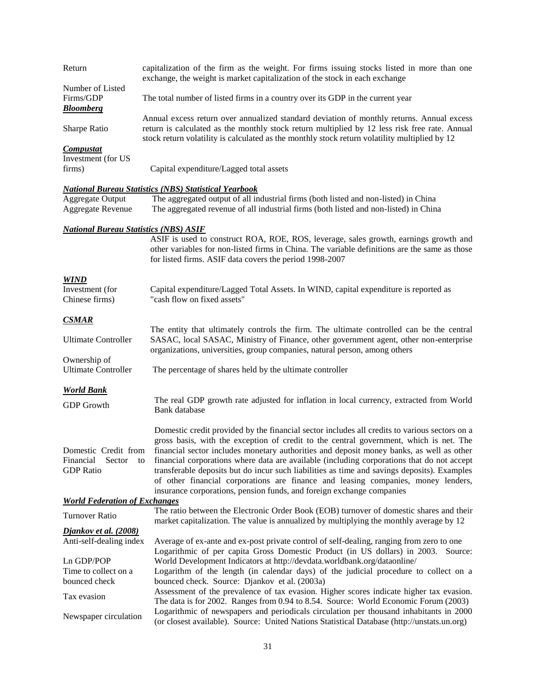| Return                                       | capitalization of the firm as the weight. For firms issuing stocks listed in more than one<br>exchange, the weight is market capitalization of the stock in each exchange                                                                                                                   |
|----------------------------------------------|---------------------------------------------------------------------------------------------------------------------------------------------------------------------------------------------------------------------------------------------------------------------------------------------|
| Number of Listed<br>Firms/GDP                | The total number of listed firms in a country over its GDP in the current year                                                                                                                                                                                                              |
| <b>Bloomberg</b>                             |                                                                                                                                                                                                                                                                                             |
| Sharpe Ratio                                 | Annual excess return over annualized standard deviation of monthly returns. Annual excess<br>return is calculated as the monthly stock return multiplied by 12 less risk free rate. Annual<br>stock return volatility is calculated as the monthly stock return volatility multiplied by 12 |
| <b>Compustat</b>                             |                                                                                                                                                                                                                                                                                             |
| Investment (for US<br>firms)                 | Capital expenditure/Lagged total assets                                                                                                                                                                                                                                                     |
|                                              |                                                                                                                                                                                                                                                                                             |
|                                              | <b>National Bureau Statistics (NBS) Statistical Yearbook</b>                                                                                                                                                                                                                                |
| <b>Aggregate Output</b>                      | The aggregated output of all industrial firms (both listed and non-listed) in China                                                                                                                                                                                                         |
| <b>Aggregate Revenue</b>                     | The aggregated revenue of all industrial firms (both listed and non-listed) in China                                                                                                                                                                                                        |
|                                              |                                                                                                                                                                                                                                                                                             |
| <b>National Bureau Statistics (NBS) ASIF</b> |                                                                                                                                                                                                                                                                                             |
|                                              | ASIF is used to construct ROA, ROE, ROS, leverage, sales growth, earnings growth and                                                                                                                                                                                                        |
|                                              | other variables for non-listed firms in China. The variable definitions are the same as those<br>for listed firms. ASIF data covers the period 1998-2007                                                                                                                                    |
|                                              |                                                                                                                                                                                                                                                                                             |
| <b>WIND</b>                                  |                                                                                                                                                                                                                                                                                             |
| Investment (for                              | Capital expenditure/Lagged Total Assets. In WIND, capital expenditure is reported as                                                                                                                                                                                                        |
| Chinese firms)                               | "cash flow on fixed assets"                                                                                                                                                                                                                                                                 |
|                                              |                                                                                                                                                                                                                                                                                             |
| <b>CSMAR</b>                                 |                                                                                                                                                                                                                                                                                             |
|                                              | The entity that ultimately controls the firm. The ultimate controlled can be the central                                                                                                                                                                                                    |
| <b>Ultimate Controller</b>                   | SASAC, local SASAC, Ministry of Finance, other government agent, other non-enterprise                                                                                                                                                                                                       |
|                                              | organizations, universities, group companies, natural person, among others                                                                                                                                                                                                                  |
| Ownership of                                 |                                                                                                                                                                                                                                                                                             |
| <b>Ultimate Controller</b>                   | The percentage of shares held by the ultimate controller                                                                                                                                                                                                                                    |
|                                              |                                                                                                                                                                                                                                                                                             |
| <b>World Bank</b>                            |                                                                                                                                                                                                                                                                                             |
|                                              | The real GDP growth rate adjusted for inflation in local currency, extracted from World                                                                                                                                                                                                     |
| <b>GDP</b> Growth                            | <b>Bank</b> database                                                                                                                                                                                                                                                                        |
|                                              |                                                                                                                                                                                                                                                                                             |
|                                              | Domestic credit provided by the financial sector includes all credits to various sectors on a                                                                                                                                                                                               |
|                                              | gross basis, with the exception of credit to the central government, which is net. The                                                                                                                                                                                                      |
|                                              | Domestic Credit from financial sector includes monetary authorities and deposit money banks, as well as other                                                                                                                                                                               |
|                                              |                                                                                                                                                                                                                                                                                             |
| Financial Sector to                          | financial corporations where data are available (including corporations that do not accept                                                                                                                                                                                                  |
| <b>GDP</b> Ratio                             | transferable deposits but do incur such liabilities as time and savings deposits). Examples                                                                                                                                                                                                 |
|                                              | of other financial corporations are finance and leasing companies, money lenders,                                                                                                                                                                                                           |
|                                              | insurance corporations, pension funds, and foreign exchange companies                                                                                                                                                                                                                       |
| <b>World Federation of Exchanges</b>         |                                                                                                                                                                                                                                                                                             |
| Turnover Ratio                               | The ratio between the Electronic Order Book (EOB) turnover of domestic shares and their                                                                                                                                                                                                     |
|                                              | market capitalization. The value is annualized by multiplying the monthly average by 12                                                                                                                                                                                                     |
| <b>Djankov et al. (2008)</b>                 |                                                                                                                                                                                                                                                                                             |
| Anti-self-dealing index                      | Average of ex-ante and ex-post private control of self-dealing, ranging from zero to one                                                                                                                                                                                                    |
|                                              | Logarithmic of per capita Gross Domestic Product (in US dollars) in 2003. Source:                                                                                                                                                                                                           |
| Ln GDP/POP                                   | World Development Indicators at http://devdata.worldbank.org/dataonline/                                                                                                                                                                                                                    |
| Time to collect on a                         | Logarithm of the length (in calendar days) of the judicial procedure to collect on a                                                                                                                                                                                                        |
| bounced check                                | bounced check. Source: Djankov et al. (2003a)                                                                                                                                                                                                                                               |
|                                              | Assessment of the prevalence of tax evasion. Higher scores indicate higher tax evasion.                                                                                                                                                                                                     |
| Tax evasion                                  | The data is for 2002. Ranges from 0.94 to 8.54. Source: World Economic Forum (2003)                                                                                                                                                                                                         |
|                                              |                                                                                                                                                                                                                                                                                             |
| Newspaper circulation                        | Logarithmic of newspapers and periodicals circulation per thousand inhabitants in 2000                                                                                                                                                                                                      |
|                                              | (or closest available). Source: United Nations Statistical Database (http://unstats.un.org)                                                                                                                                                                                                 |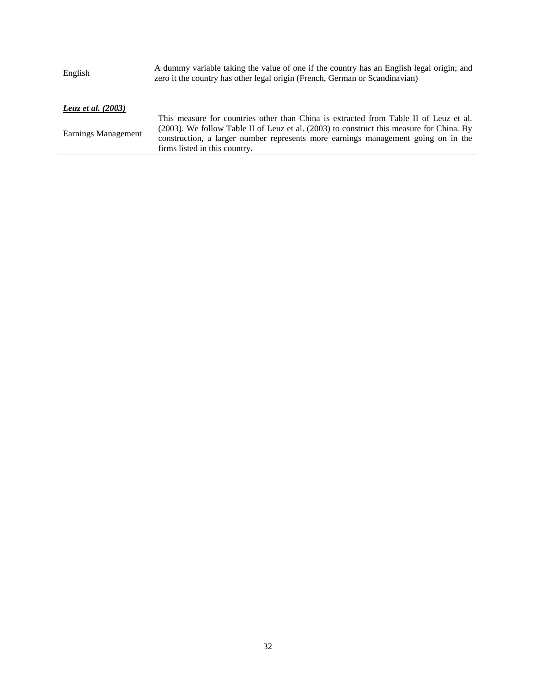| English              | A dummy variable taking the value of one if the country has an English legal origin; and<br>zero it the country has other legal origin (French, German or Scandinavian)                                                                                                                                 |  |  |  |
|----------------------|---------------------------------------------------------------------------------------------------------------------------------------------------------------------------------------------------------------------------------------------------------------------------------------------------------|--|--|--|
| Leuz et al. $(2003)$ |                                                                                                                                                                                                                                                                                                         |  |  |  |
| Earnings Management  | This measure for countries other than China is extracted from Table II of Leuz et al.<br>(2003). We follow Table II of Leuz et al. (2003) to construct this measure for China. By<br>construction, a larger number represents more earnings management going on in the<br>firms listed in this country. |  |  |  |
|                      |                                                                                                                                                                                                                                                                                                         |  |  |  |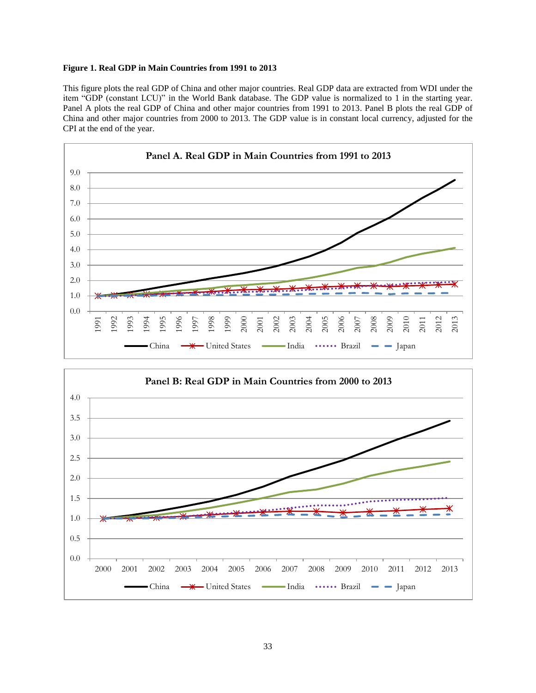### **Figure 1. Real GDP in Main Countries from 1991 to 2013**

This figure plots the real GDP of China and other major countries. Real GDP data are extracted from WDI under the item "GDP (constant LCU)" in the World Bank database. The GDP value is normalized to 1 in the starting year. Panel A plots the real GDP of China and other major countries from 1991 to 2013. Panel B plots the real GDP of China and other major countries from 2000 to 2013. The GDP value is in constant local currency, adjusted for the CPI at the end of the year.



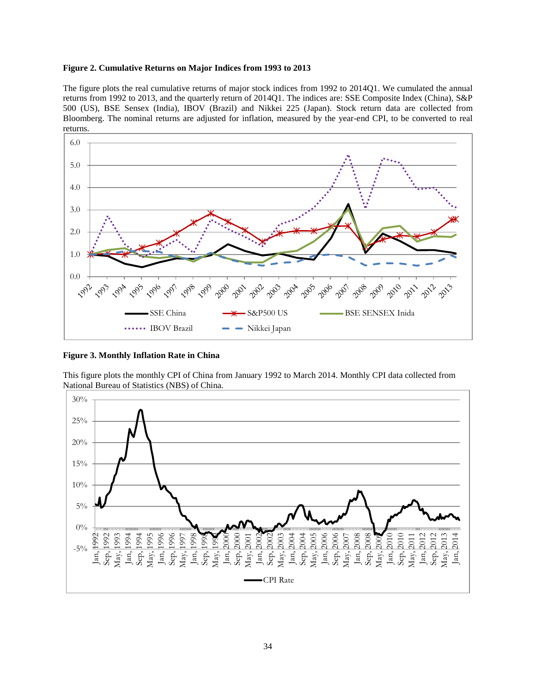### **Figure 2. Cumulative Returns on Major Indices from 1993 to 2013**

The figure plots the real cumulative returns of major stock indices from 1992 to 2014Q1. We cumulated the annual returns from 1992 to 2013, and the quarterly return of 2014Q1. The indices are: SSE Composite Index (China), S&P 500 (US), BSE Sensex (India), IBOV (Brazil) and Nikkei 225 (Japan). Stock return data are collected from Bloomberg. The nominal returns are adjusted for inflation, measured by the year-end CPI, to be converted to real returns.



**Figure 3. Monthly Inflation Rate in China**

This figure plots the monthly CPI of China from January 1992 to March 2014. Monthly CPI data collected from National Bureau of Statistics (NBS) of China.

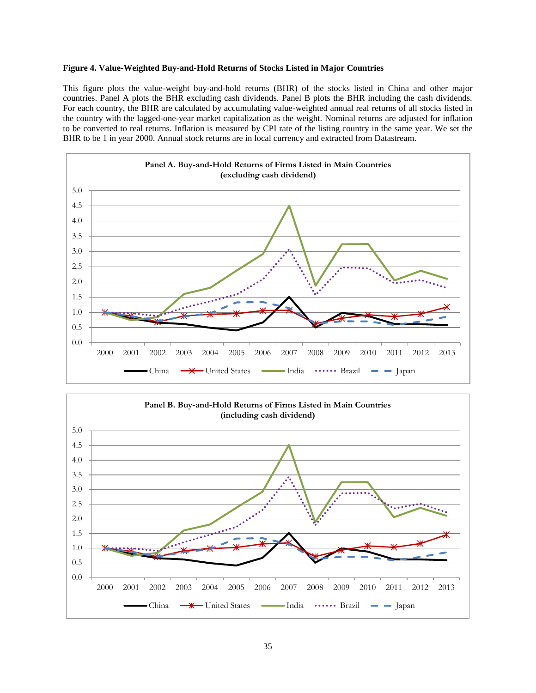### **Figure 4. Value-Weighted Buy-and-Hold Returns of Stocks Listed in Major Countries**

This figure plots the value-weight buy-and-hold returns (BHR) of the stocks listed in China and other major countries. Panel A plots the BHR excluding cash dividends. Panel B plots the BHR including the cash dividends. For each country, the BHR are calculated by accumulating value-weighted annual real returns of all stocks listed in the country with the lagged-one-year market capitalization as the weight. Nominal returns are adjusted for inflation to be converted to real returns. Inflation is measured by CPI rate of the listing country in the same year. We set the BHR to be 1 in year 2000. Annual stock returns are in local currency and extracted from Datastream.



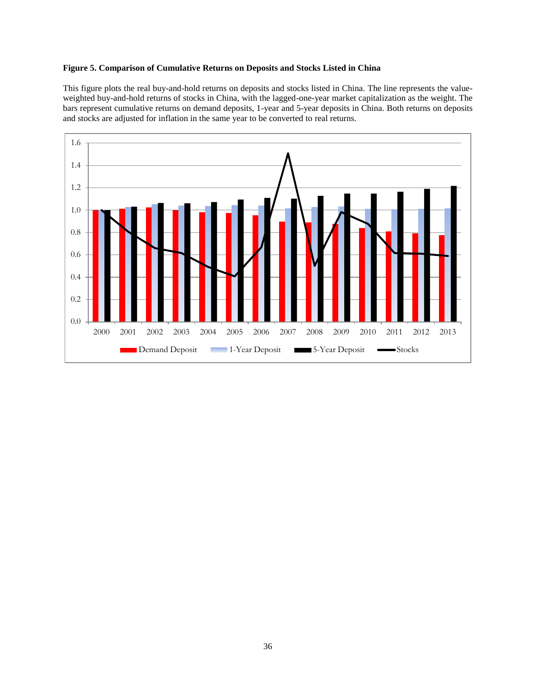## **Figure 5. Comparison of Cumulative Returns on Deposits and Stocks Listed in China**

This figure plots the real buy-and-hold returns on deposits and stocks listed in China. The line represents the valueweighted buy-and-hold returns of stocks in China, with the lagged-one-year market capitalization as the weight. The bars represent cumulative returns on demand deposits, 1-year and 5-year deposits in China. Both returns on deposits and stocks are adjusted for inflation in the same year to be converted to real returns.

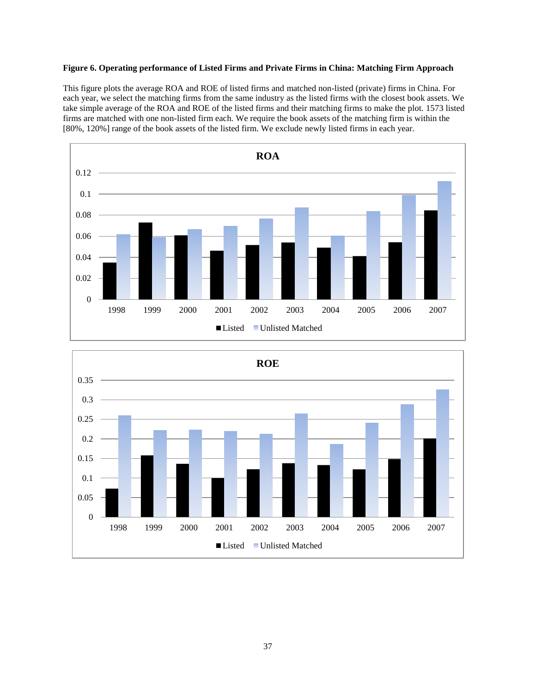# **Figure 6. Operating performance of Listed Firms and Private Firms in China: Matching Firm Approach**

This figure plots the average ROA and ROE of listed firms and matched non-listed (private) firms in China. For each year, we select the matching firms from the same industry as the listed firms with the closest book assets. We take simple average of the ROA and ROE of the listed firms and their matching firms to make the plot. 1573 listed firms are matched with one non-listed firm each. We require the book assets of the matching firm is within the [80%, 120%] range of the book assets of the listed firm. We exclude newly listed firms in each year.



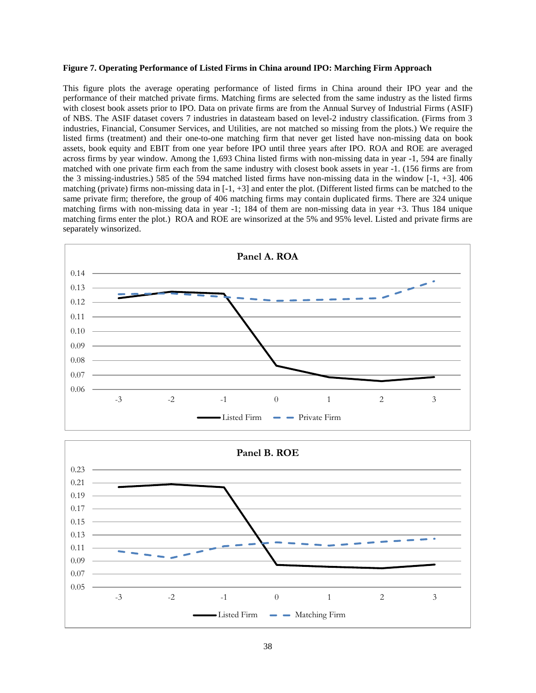#### **Figure 7. Operating Performance of Listed Firms in China around IPO: Marching Firm Approach**

This figure plots the average operating performance of listed firms in China around their IPO year and the performance of their matched private firms. Matching firms are selected from the same industry as the listed firms with closest book assets prior to IPO. Data on private firms are from the Annual Survey of Industrial Firms (ASIF) of NBS. The ASIF dataset covers 7 industries in datasteam based on level-2 industry classification. (Firms from 3 industries, Financial, Consumer Services, and Utilities, are not matched so missing from the plots.) We require the listed firms (treatment) and their one-to-one matching firm that never get listed have non-missing data on book assets, book equity and EBIT from one year before IPO until three years after IPO. ROA and ROE are averaged across firms by year window. Among the 1,693 China listed firms with non-missing data in year -1, 594 are finally matched with one private firm each from the same industry with closest book assets in year -1. (156 firms are from the 3 missing-industries.) 585 of the 594 matched listed firms have non-missing data in the window [-1, +3]. 406 matching (private) firms non-missing data in  $[-1, +3]$  and enter the plot. (Different listed firms can be matched to the same private firm; therefore, the group of 406 matching firms may contain duplicated firms. There are 324 unique matching firms with non-missing data in year -1; 184 of them are non-missing data in year +3. Thus 184 unique matching firms enter the plot.) ROA and ROE are winsorized at the 5% and 95% level. Listed and private firms are separately winsorized.



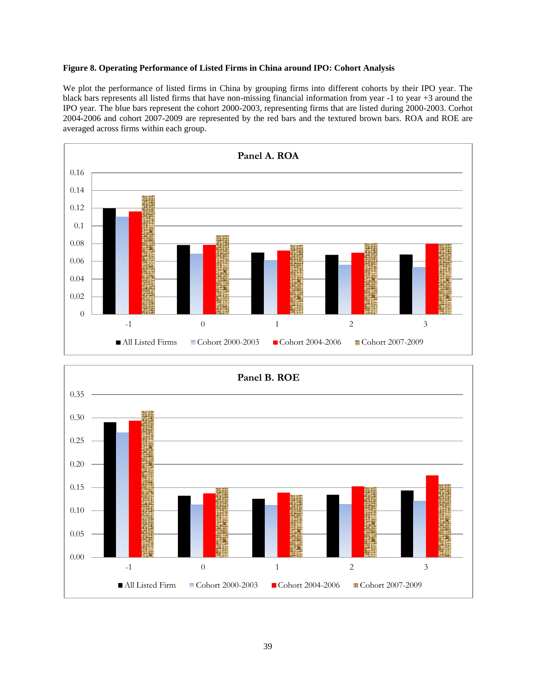# **Figure 8. Operating Performance of Listed Firms in China around IPO: Cohort Analysis**

We plot the performance of listed firms in China by grouping firms into different cohorts by their IPO year. The black bars represents all listed firms that have non-missing financial information from year -1 to year +3 around the IPO year. The blue bars represent the cohort 2000-2003, representing firms that are listed during 2000-2003. Corhot 2004-2006 and cohort 2007-2009 are represented by the red bars and the textured brown bars. ROA and ROE are averaged across firms within each group.



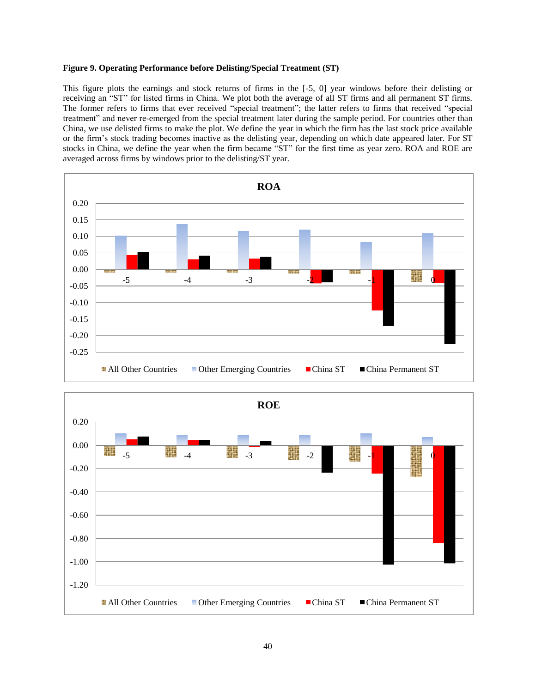### **Figure 9. Operating Performance before Delisting/Special Treatment (ST)**

This figure plots the earnings and stock returns of firms in the [-5, 0] year windows before their delisting or receiving an "ST" for listed firms in China. We plot both the average of all ST firms and all permanent ST firms. The former refers to firms that ever received "special treatment"; the latter refers to firms that received "special treatment" and never re-emerged from the special treatment later during the sample period. For countries other than China, we use delisted firms to make the plot. We define the year in which the firm has the last stock price available or the firm's stock trading becomes inactive as the delisting year, depending on which date appeared later. For ST stocks in China, we define the year when the firm became "ST" for the first time as year zero. ROA and ROE are averaged across firms by windows prior to the delisting/ST year.



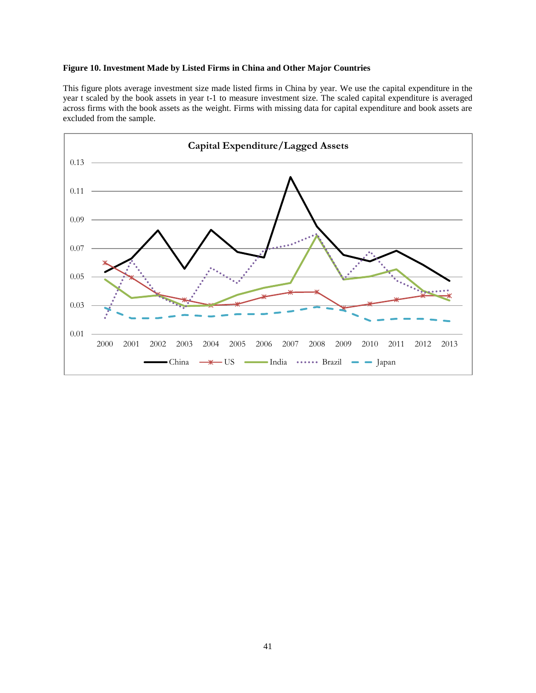## **Figure 10. Investment Made by Listed Firms in China and Other Major Countries**

This figure plots average investment size made listed firms in China by year. We use the capital expenditure in the year t scaled by the book assets in year t-1 to measure investment size. The scaled capital expenditure is averaged across firms with the book assets as the weight. Firms with missing data for capital expenditure and book assets are excluded from the sample.

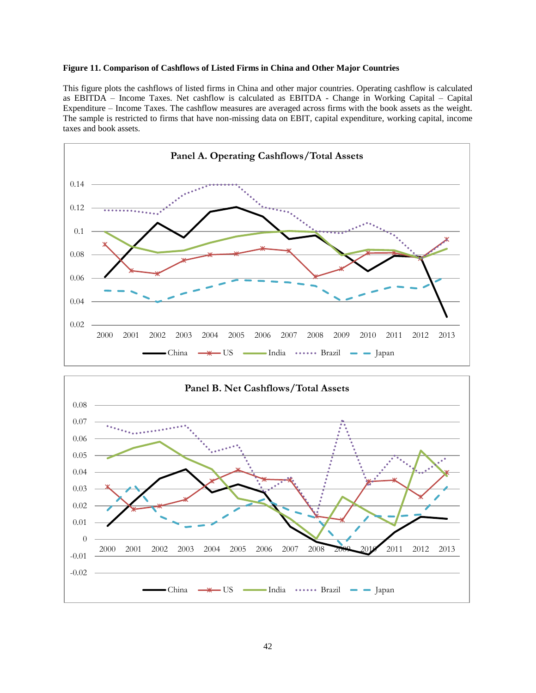## **Figure 11. Comparison of Cashflows of Listed Firms in China and Other Major Countries**

This figure plots the cashflows of listed firms in China and other major countries. Operating cashflow is calculated as EBITDA – Income Taxes. Net cashflow is calculated as EBITDA - Change in Working Capital – Capital Expenditure – Income Taxes. The cashflow measures are averaged across firms with the book assets as the weight. The sample is restricted to firms that have non-missing data on EBIT, capital expenditure, working capital, income taxes and book assets.



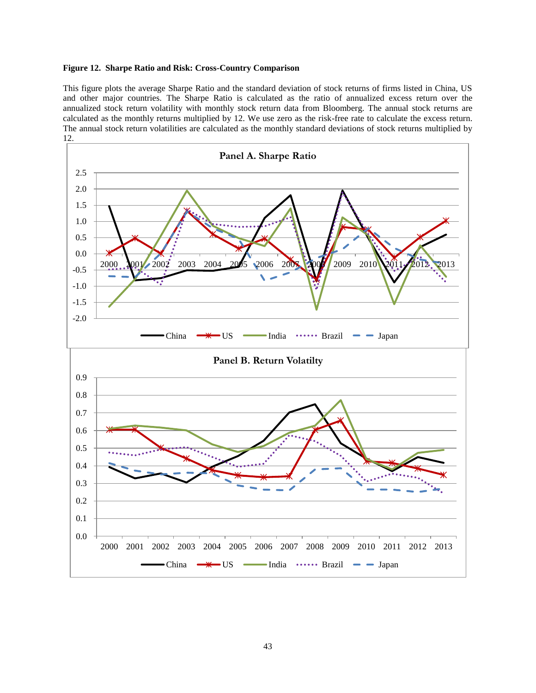### **Figure 12. Sharpe Ratio and Risk: Cross-Country Comparison**

This figure plots the average Sharpe Ratio and the standard deviation of stock returns of firms listed in China, US and other major countries. The Sharpe Ratio is calculated as the ratio of annualized excess return over the annualized stock return volatility with monthly stock return data from Bloomberg. The annual stock returns are calculated as the monthly returns multiplied by 12. We use zero as the risk-free rate to calculate the excess return. The annual stock return volatilities are calculated as the monthly standard deviations of stock returns multiplied by 12.

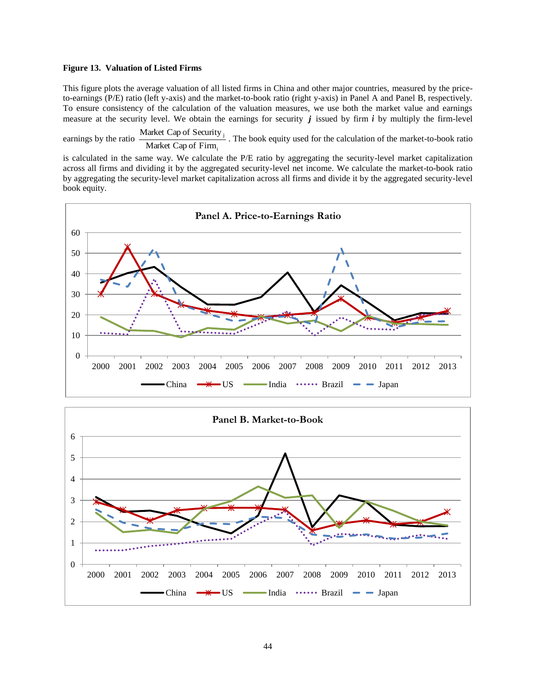### **Figure 13. Valuation of Listed Firms**

This figure plots the average valuation of all listed firms in China and other major countries, measured by the priceto-earnings (P/E) ratio (left y-axis) and the market-to-book ratio (right y-axis) in Panel A and Panel B, respectively. To ensure consistency of the calculation of the valuation measures, we use both the market value and earnings measure at the security level. We obtain the earnings for security  $j$  issued by firm  $i$  by multiply the firm-level

earnings by the ratio Market Cap of Firm<sub>i</sub> Market Cap of Security  $\frac{1}{1}$ . The book equity used for the calculation of the market-to-book ratio

is calculated in the same way. We calculate the P/E ratio by aggregating the security-level market capitalization across all firms and dividing it by the aggregated security-level net income. We calculate the market-to-book ratio by aggregating the security-level market capitalization across all firms and divide it by the aggregated security-level book equity.



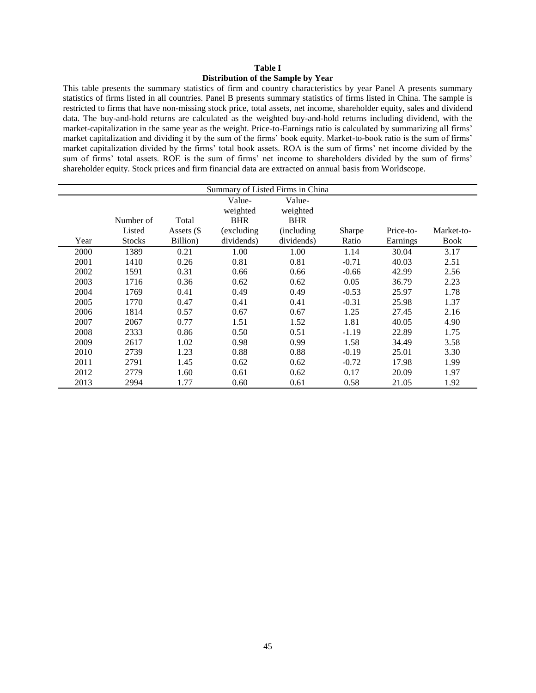## **Table I Distribution of the Sample by Year**

This table presents the summary statistics of firm and country characteristics by year Panel A presents summary statistics of firms listed in all countries. Panel B presents summary statistics of firms listed in China. The sample is restricted to firms that have non-missing stock price, total assets, net income, shareholder equity, sales and dividend data. The buy-and-hold returns are calculated as the weighted buy-and-hold returns including dividend, with the market-capitalization in the same year as the weight. Price-to-Earnings ratio is calculated by summarizing all firms' market capitalization and dividing it by the sum of the firms' book equity. Market-to-book ratio is the sum of firms' market capitalization divided by the firms' total book assets. ROA is the sum of firms' net income divided by the sum of firms' total assets. ROE is the sum of firms' net income to shareholders divided by the sum of firms' shareholder equity. Stock prices and firm financial data are extracted on annual basis from Worldscope.

|      | Summary of Listed Firms in China |            |             |             |         |           |             |  |  |  |
|------|----------------------------------|------------|-------------|-------------|---------|-----------|-------------|--|--|--|
|      | Value-<br>Value-                 |            |             |             |         |           |             |  |  |  |
|      |                                  |            | weighted    | weighted    |         |           |             |  |  |  |
|      | Number of                        | Total      | <b>BHR</b>  | <b>BHR</b>  |         |           |             |  |  |  |
|      | Listed                           | Assets (\$ | (excluding) | (including) | Sharpe  | Price-to- | Market-to-  |  |  |  |
| Year | <b>Stocks</b>                    | Billion)   | dividends)  | dividends)  | Ratio   | Earnings  | <b>Book</b> |  |  |  |
| 2000 | 1389                             | 0.21       | 1.00        | 1.00        | 1.14    | 30.04     | 3.17        |  |  |  |
| 2001 | 1410                             | 0.26       | 0.81        | 0.81        | $-0.71$ | 40.03     | 2.51        |  |  |  |
| 2002 | 1591                             | 0.31       | 0.66        | 0.66        | $-0.66$ | 42.99     | 2.56        |  |  |  |
| 2003 | 1716                             | 0.36       | 0.62        | 0.62        | 0.05    | 36.79     | 2.23        |  |  |  |
| 2004 | 1769                             | 0.41       | 0.49        | 0.49        | $-0.53$ | 25.97     | 1.78        |  |  |  |
| 2005 | 1770                             | 0.47       | 0.41        | 0.41        | $-0.31$ | 25.98     | 1.37        |  |  |  |
| 2006 | 1814                             | 0.57       | 0.67        | 0.67        | 1.25    | 27.45     | 2.16        |  |  |  |
| 2007 | 2067                             | 0.77       | 1.51        | 1.52        | 1.81    | 40.05     | 4.90        |  |  |  |
| 2008 | 2333                             | 0.86       | 0.50        | 0.51        | $-1.19$ | 22.89     | 1.75        |  |  |  |
| 2009 | 2617                             | 1.02       | 0.98        | 0.99        | 1.58    | 34.49     | 3.58        |  |  |  |
| 2010 | 2739                             | 1.23       | 0.88        | 0.88        | $-0.19$ | 25.01     | 3.30        |  |  |  |
| 2011 | 2791                             | 1.45       | 0.62        | 0.62        | $-0.72$ | 17.98     | 1.99        |  |  |  |
| 2012 | 2779                             | 1.60       | 0.61        | 0.62        | 0.17    | 20.09     | 1.97        |  |  |  |
| 2013 | 2994                             | 1.77       | 0.60        | 0.61        | 0.58    | 21.05     | 1.92        |  |  |  |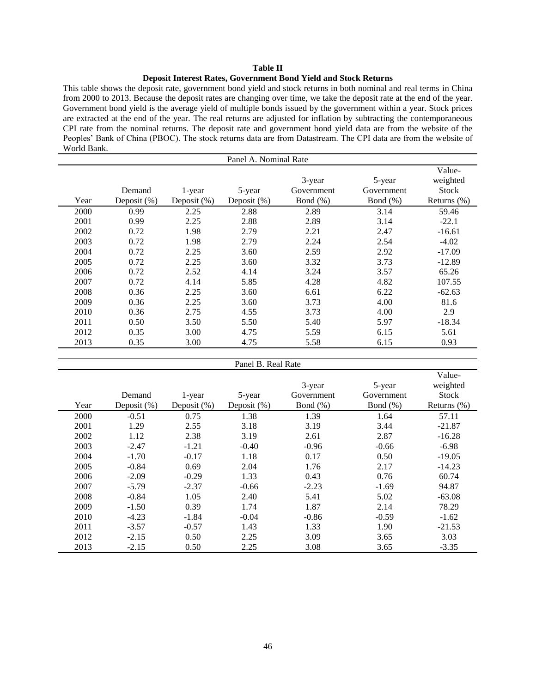# **Table II**

#### **Deposit Interest Rates, Government Bond Yield and Stock Returns**

This table shows the deposit rate, government bond yield and stock returns in both nominal and real terms in China from 2000 to 2013. Because the deposit rates are changing over time, we take the deposit rate at the end of the year. Government bond yield is the average yield of multiple bonds issued by the government within a year. Stock prices are extracted at the end of the year. The real returns are adjusted for inflation by subtracting the contemporaneous CPI rate from the nominal returns. The deposit rate and government bond yield data are from the website of the Peoples' Bank of China (PBOC). The stock returns data are from Datastream. The CPI data are from the website of World Bank.

|      | Panel A. Nominal Rate |                |                |              |             |                    |  |  |  |
|------|-----------------------|----------------|----------------|--------------|-------------|--------------------|--|--|--|
|      |                       |                |                | 3-year       | 5-year      | Value-<br>weighted |  |  |  |
|      | Demand                | 1-year         | 5-year         | Government   | Government  | <b>Stock</b>       |  |  |  |
| Year | Deposit $(\%)$        | Deposit $(\%)$ | Deposit $(\%)$ | Bond $(\% )$ | Bond $(\%)$ | Returns $(\%)$     |  |  |  |
| 2000 | 0.99                  | 2.25           | 2.88           | 2.89         | 3.14        | 59.46              |  |  |  |
| 2001 | 0.99                  | 2.25           | 2.88           | 2.89         | 3.14        | $-22.1$            |  |  |  |
| 2002 | 0.72                  | 1.98           | 2.79           | 2.21         | 2.47        | $-16.61$           |  |  |  |
| 2003 | 0.72                  | 1.98           | 2.79           | 2.24         | 2.54        | $-4.02$            |  |  |  |
| 2004 | 0.72                  | 2.25           | 3.60           | 2.59         | 2.92        | $-17.09$           |  |  |  |
| 2005 | 0.72                  | 2.25           | 3.60           | 3.32         | 3.73        | $-12.89$           |  |  |  |
| 2006 | 0.72                  | 2.52           | 4.14           | 3.24         | 3.57        | 65.26              |  |  |  |
| 2007 | 0.72                  | 4.14           | 5.85           | 4.28         | 4.82        | 107.55             |  |  |  |
| 2008 | 0.36                  | 2.25           | 3.60           | 6.61         | 6.22        | $-62.63$           |  |  |  |
| 2009 | 0.36                  | 2.25           | 3.60           | 3.73         | 4.00        | 81.6               |  |  |  |
| 2010 | 0.36                  | 2.75           | 4.55           | 3.73         | 4.00        | 2.9                |  |  |  |
| 2011 | 0.50                  | 3.50           | 5.50           | 5.40         | 5.97        | $-18.34$           |  |  |  |
| 2012 | 0.35                  | 3.00           | 4.75           | 5.59         | 6.15        | 5.61               |  |  |  |
| 2013 | 0.35                  | 3.00           | 4.75           | 5.58         | 6.15        | 0.93               |  |  |  |

#### Panel B. Real Rate

|      |                |                |                |             |              | Value-         |
|------|----------------|----------------|----------------|-------------|--------------|----------------|
|      |                |                |                | 3-year      | 5-year       | weighted       |
|      | Demand         | 1-year         | 5-year         | Government  | Government   | <b>Stock</b>   |
| Year | Deposit $(\%)$ | Deposit $(\%)$ | Deposit $(\%)$ | Bond $(\%)$ | Bond $(\% )$ | Returns $(\%)$ |
| 2000 | $-0.51$        | 0.75           | 1.38           | 1.39        | 1.64         | 57.11          |
| 2001 | 1.29           | 2.55           | 3.18           | 3.19        | 3.44         | $-21.87$       |
| 2002 | 1.12           | 2.38           | 3.19           | 2.61        | 2.87         | $-16.28$       |
| 2003 | $-2.47$        | $-1.21$        | $-0.40$        | $-0.96$     | $-0.66$      | $-6.98$        |
| 2004 | $-1.70$        | $-0.17$        | 1.18           | 0.17        | 0.50         | $-19.05$       |
| 2005 | $-0.84$        | 0.69           | 2.04           | 1.76        | 2.17         | $-14.23$       |
| 2006 | $-2.09$        | $-0.29$        | 1.33           | 0.43        | 0.76         | 60.74          |
| 2007 | $-5.79$        | $-2.37$        | $-0.66$        | $-2.23$     | $-1.69$      | 94.87          |
| 2008 | $-0.84$        | 1.05           | 2.40           | 5.41        | 5.02         | $-63.08$       |
| 2009 | $-1.50$        | 0.39           | 1.74           | 1.87        | 2.14         | 78.29          |
| 2010 | $-4.23$        | $-1.84$        | $-0.04$        | $-0.86$     | $-0.59$      | $-1.62$        |
| 2011 | $-3.57$        | $-0.57$        | 1.43           | 1.33        | 1.90         | $-21.53$       |
| 2012 | $-2.15$        | 0.50           | 2.25           | 3.09        | 3.65         | 3.03           |
| 2013 | $-2.15$        | 0.50           | 2.25           | 3.08        | 3.65         | $-3.35$        |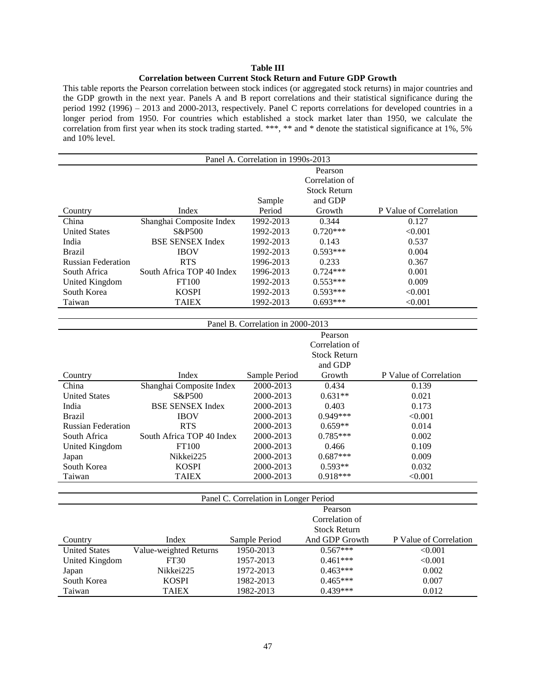# **Table III**

## **Correlation between Current Stock Return and Future GDP Growth**

This table reports the Pearson correlation between stock indices (or aggregated stock returns) in major countries and the GDP growth in the next year. Panels A and B report correlations and their statistical significance during the period 1992 (1996) – 2013 and 2000-2013, respectively. Panel C reports correlations for developed countries in a longer period from 1950. For countries which established a stock market later than 1950, we calculate the correlation from first year when its stock trading started. \*\*\*, \*\* and \* denote the statistical significance at 1%, 5% and 10% level.

| Panel A. Correlation in 1990s-2013 |                           |           |                     |                        |  |  |  |  |
|------------------------------------|---------------------------|-----------|---------------------|------------------------|--|--|--|--|
|                                    |                           |           | Pearson             |                        |  |  |  |  |
|                                    |                           |           | Correlation of      |                        |  |  |  |  |
|                                    |                           |           | <b>Stock Return</b> |                        |  |  |  |  |
|                                    |                           | Sample    | and GDP             |                        |  |  |  |  |
| Country                            | Index                     | Period    | Growth              | P Value of Correlation |  |  |  |  |
| China                              | Shanghai Composite Index  | 1992-2013 | 0.344               | 0.127                  |  |  |  |  |
| <b>United States</b>               | S&P <sub>500</sub>        | 1992-2013 | $0.720***$          | < 0.001                |  |  |  |  |
| India                              | <b>BSE SENSEX Index</b>   | 1992-2013 | 0.143               | 0.537                  |  |  |  |  |
| <b>Brazil</b>                      | <b>IBOV</b>               | 1992-2013 | $0.593***$          | 0.004                  |  |  |  |  |
| <b>Russian Federation</b>          | <b>RTS</b>                | 1996-2013 | 0.233               | 0.367                  |  |  |  |  |
| South Africa                       | South Africa TOP 40 Index | 1996-2013 | $0.724***$          | 0.001                  |  |  |  |  |
| United Kingdom                     | FT100                     | 1992-2013 | $0.553***$          | 0.009                  |  |  |  |  |
| South Korea                        | <b>KOSPI</b>              | 1992-2013 | $0.593***$          | < 0.001                |  |  |  |  |
| Taiwan                             | <b>TAIEX</b>              | 1992-2013 | $0.693***$          | < 0.001                |  |  |  |  |
|                                    |                           |           |                     |                        |  |  |  |  |

| Panel B. Correlation in 2000-2013 |                           |                                       |                     |                        |  |  |  |
|-----------------------------------|---------------------------|---------------------------------------|---------------------|------------------------|--|--|--|
| Pearson                           |                           |                                       |                     |                        |  |  |  |
|                                   |                           |                                       | Correlation of      |                        |  |  |  |
|                                   |                           |                                       | <b>Stock Return</b> |                        |  |  |  |
|                                   |                           |                                       | and GDP             |                        |  |  |  |
| Country                           | Index                     | Sample Period                         | Growth              | P Value of Correlation |  |  |  |
| China                             | Shanghai Composite Index  | 2000-2013                             | 0.434               | 0.139                  |  |  |  |
| <b>United States</b>              | S&P500                    | 2000-2013                             | $0.631**$           | 0.021                  |  |  |  |
| India                             | <b>BSE SENSEX Index</b>   | 2000-2013                             | 0.403               | 0.173                  |  |  |  |
| <b>Brazil</b>                     | <b>IBOV</b>               | 2000-2013                             | $0.949***$          | < 0.001                |  |  |  |
| <b>Russian Federation</b>         | <b>RTS</b>                | 2000-2013                             | $0.659**$           | 0.014                  |  |  |  |
| South Africa                      | South Africa TOP 40 Index | 2000-2013                             | $0.785***$          | 0.002                  |  |  |  |
| United Kingdom                    | FT100                     | 2000-2013                             | 0.466               | 0.109                  |  |  |  |
| Japan                             | Nikkei225                 | 2000-2013                             | $0.687***$          | 0.009                  |  |  |  |
| South Korea                       | <b>KOSPI</b>              | 2000-2013                             | $0.593**$           | 0.032                  |  |  |  |
| Taiwan                            | <b>TAIEX</b>              | 2000-2013                             | $0.918***$          | < 0.001                |  |  |  |
|                                   |                           |                                       |                     |                        |  |  |  |
|                                   |                           | Panel C. Correlation in Longer Period |                     |                        |  |  |  |
|                                   |                           |                                       | Pearson             |                        |  |  |  |
|                                   |                           |                                       | Correlation of      |                        |  |  |  |
|                                   |                           |                                       | <b>Stock Return</b> |                        |  |  |  |
| Country                           | Index                     | Sample Period                         | And GDP Growth      | P Value of Correlation |  |  |  |
| <b>United States</b>              | Value-weighted Returns    | 1950-2013                             | $0.567***$          | < 0.001                |  |  |  |
| United Kingdom                    | FT30                      | 1957-2013                             | $0.461***$          | < 0.001                |  |  |  |
| Japan                             | Nikkei225                 | 1972-2013                             | $0.463***$          | 0.002                  |  |  |  |
| South Korea                       | <b>KOSPI</b>              | 1982-2013                             | $0.465***$          | 0.007                  |  |  |  |
| Taiwan                            | <b>TAIEX</b>              | 1982-2013                             | $0.439***$          | 0.012                  |  |  |  |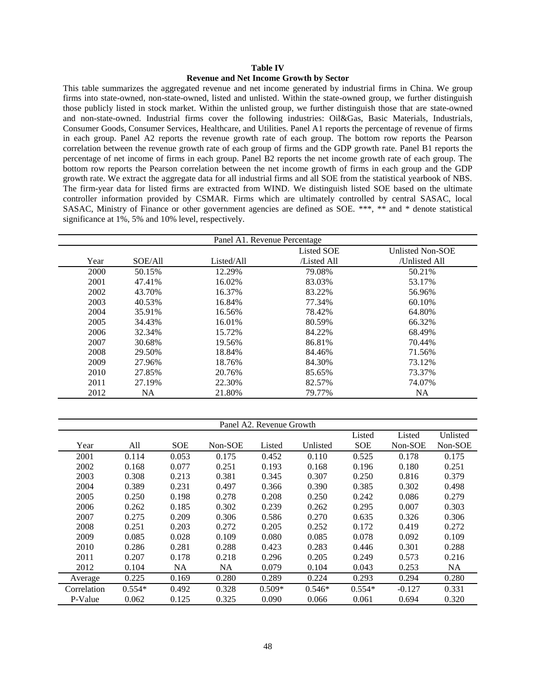#### **Table IV**

#### **Revenue and Net Income Growth by Sector**

This table summarizes the aggregated revenue and net income generated by industrial firms in China. We group firms into state-owned, non-state-owned, listed and unlisted. Within the state-owned group, we further distinguish those publicly listed in stock market. Within the unlisted group, we further distinguish those that are state-owned and non-state-owned. Industrial firms cover the following industries: Oil&Gas, Basic Materials, Industrials, Consumer Goods, Consumer Services, Healthcare, and Utilities. Panel A1 reports the percentage of revenue of firms in each group. Panel A2 reports the revenue growth rate of each group. The bottom row reports the Pearson correlation between the revenue growth rate of each group of firms and the GDP growth rate. Panel B1 reports the percentage of net income of firms in each group. Panel B2 reports the net income growth rate of each group. The bottom row reports the Pearson correlation between the net income growth of firms in each group and the GDP growth rate. We extract the aggregate data for all industrial firms and all SOE from the statistical yearbook of NBS. The firm-year data for listed firms are extracted from WIND. We distinguish listed SOE based on the ultimate controller information provided by CSMAR. Firms which are ultimately controlled by central SASAC, local SASAC, Ministry of Finance or other government agencies are defined as SOE. \*\*\*, \*\* and \* denote statistical significance at 1%, 5% and 10% level, respectively.

| Panel A1. Revenue Percentage |           |            |            |                  |  |  |  |
|------------------------------|-----------|------------|------------|------------------|--|--|--|
|                              |           |            | Listed SOE | Unlisted Non-SOE |  |  |  |
| Year                         | SOE/All   | Listed/All | Listed All | /Unlisted All    |  |  |  |
| 2000                         | 50.15%    | 12.29%     | 79.08%     | 50.21%           |  |  |  |
| 2001                         | 47.41%    | 16.02%     | 83.03%     | 53.17%           |  |  |  |
| 2002                         | 43.70%    | 16.37%     | 83.22%     | 56.96%           |  |  |  |
| 2003                         | 40.53%    | 16.84%     | 77.34%     | 60.10%           |  |  |  |
| 2004                         | 35.91%    | 16.56%     | 78.42%     | 64.80%           |  |  |  |
| 2005                         | 34.43%    | 16.01%     | 80.59%     | 66.32%           |  |  |  |
| 2006                         | 32.34%    | 15.72%     | 84.22%     | 68.49%           |  |  |  |
| 2007                         | 30.68%    | 19.56%     | 86.81%     | 70.44%           |  |  |  |
| 2008                         | 29.50%    | 18.84%     | 84.46%     | 71.56%           |  |  |  |
| 2009                         | 27.96%    | 18.76%     | 84.30%     | 73.12%           |  |  |  |
| 2010                         | 27.85%    | 20.76%     | 85.65%     | 73.37%           |  |  |  |
| 2011                         | 27.19%    | 22.30%     | 82.57%     | 74.07%           |  |  |  |
| 2012                         | <b>NA</b> | 21.80%     | 79.77%     | <b>NA</b>        |  |  |  |

|             |          |            |           | Panel A2. Revenue Growth |          |            |          |          |
|-------------|----------|------------|-----------|--------------------------|----------|------------|----------|----------|
|             |          |            |           |                          |          | Listed     | Listed   | Unlisted |
| Year        | All      | <b>SOE</b> | Non-SOE   | Listed                   | Unlisted | <b>SOE</b> | Non-SOE  | Non-SOE  |
| 2001        | 0.114    | 0.053      | 0.175     | 0.452                    | 0.110    | 0.525      | 0.178    | 0.175    |
| 2002        | 0.168    | 0.077      | 0.251     | 0.193                    | 0.168    | 0.196      | 0.180    | 0.251    |
| 2003        | 0.308    | 0.213      | 0.381     | 0.345                    | 0.307    | 0.250      | 0.816    | 0.379    |
| 2004        | 0.389    | 0.231      | 0.497     | 0.366                    | 0.390    | 0.385      | 0.302    | 0.498    |
| 2005        | 0.250    | 0.198      | 0.278     | 0.208                    | 0.250    | 0.242      | 0.086    | 0.279    |
| 2006        | 0.262    | 0.185      | 0.302     | 0.239                    | 0.262    | 0.295      | 0.007    | 0.303    |
| 2007        | 0.275    | 0.209      | 0.306     | 0.586                    | 0.270    | 0.635      | 0.326    | 0.306    |
| 2008        | 0.251    | 0.203      | 0.272     | 0.205                    | 0.252    | 0.172      | 0.419    | 0.272    |
| 2009        | 0.085    | 0.028      | 0.109     | 0.080                    | 0.085    | 0.078      | 0.092    | 0.109    |
| 2010        | 0.286    | 0.281      | 0.288     | 0.423                    | 0.283    | 0.446      | 0.301    | 0.288    |
| 2011        | 0.207    | 0.178      | 0.218     | 0.296                    | 0.205    | 0.249      | 0.573    | 0.216    |
| 2012        | 0.104    | <b>NA</b>  | <b>NA</b> | 0.079                    | 0.104    | 0.043      | 0.253    | NA       |
| Average     | 0.225    | 0.169      | 0.280     | 0.289                    | 0.224    | 0.293      | 0.294    | 0.280    |
| Correlation | $0.554*$ | 0.492      | 0.328     | $0.509*$                 | $0.546*$ | $0.554*$   | $-0.127$ | 0.331    |
| P-Value     | 0.062    | 0.125      | 0.325     | 0.090                    | 0.066    | 0.061      | 0.694    | 0.320    |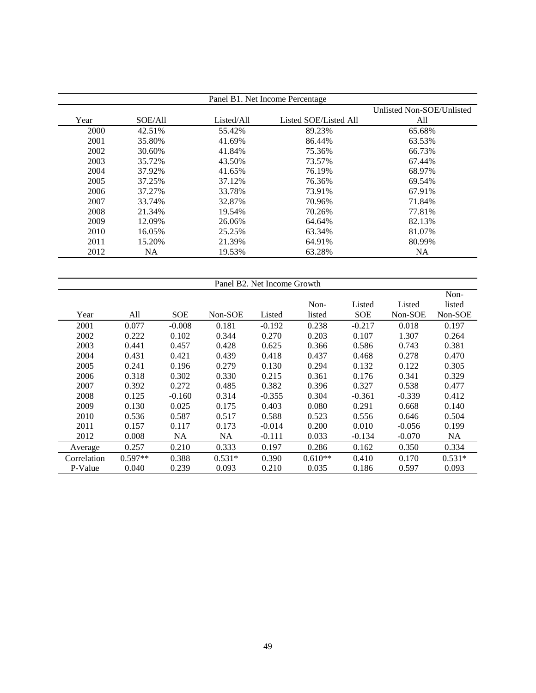| Panel B1. Net Income Percentage<br>Unlisted Non-SOE/Unlisted |         |            |                       |        |  |  |  |  |  |
|--------------------------------------------------------------|---------|------------|-----------------------|--------|--|--|--|--|--|
| Year                                                         | SOE/All | Listed/All | Listed SOE/Listed All | All    |  |  |  |  |  |
| 2000                                                         | 42.51%  | 55.42%     | 89.23%                | 65.68% |  |  |  |  |  |
| 2001                                                         | 35.80%  | 41.69%     | 86.44%                | 63.53% |  |  |  |  |  |
| 2002                                                         | 30.60%  | 41.84%     | 75.36%                | 66.73% |  |  |  |  |  |
| 2003                                                         | 35.72%  | 43.50%     | 73.57%                | 67.44% |  |  |  |  |  |
| 2004                                                         | 37.92%  | 41.65%     | 76.19%                | 68.97% |  |  |  |  |  |
| 2005                                                         | 37.25%  | 37.12%     | 76.36%                | 69.54% |  |  |  |  |  |
| 2006                                                         | 37.27%  | 33.78%     | 73.91%                | 67.91% |  |  |  |  |  |
| 2007                                                         | 33.74%  | 32.87%     | 70.96%                | 71.84% |  |  |  |  |  |
| 2008                                                         | 21.34%  | 19.54%     | 70.26%                | 77.81% |  |  |  |  |  |
| 2009                                                         | 12.09%  | 26.06%     | 64.64%                | 82.13% |  |  |  |  |  |
| 2010                                                         | 16.05%  | 25.25%     | 63.34%                | 81.07% |  |  |  |  |  |
| 2011                                                         | 15.20%  | 21.39%     | 64.91%                | 80.99% |  |  |  |  |  |
| 2012                                                         | NA.     | 19.53%     | 63.28%                | NA.    |  |  |  |  |  |

| Panel B2. Net Income Growth |           |            |           |          |           |          |          |          |
|-----------------------------|-----------|------------|-----------|----------|-----------|----------|----------|----------|
|                             |           |            |           |          |           |          |          | Non-     |
|                             |           |            |           |          | Non-      | Listed   | Listed   | listed   |
| Year                        | All       | <b>SOE</b> | Non-SOE   | Listed   | listed    | SOE      | Non-SOE  | Non-SOE  |
| 2001                        | 0.077     | $-0.008$   | 0.181     | $-0.192$ | 0.238     | $-0.217$ | 0.018    | 0.197    |
| 2002                        | 0.222     | 0.102      | 0.344     | 0.270    | 0.203     | 0.107    | 1.307    | 0.264    |
| 2003                        | 0.441     | 0.457      | 0.428     | 0.625    | 0.366     | 0.586    | 0.743    | 0.381    |
| 2004                        | 0.431     | 0.421      | 0.439     | 0.418    | 0.437     | 0.468    | 0.278    | 0.470    |
| 2005                        | 0.241     | 0.196      | 0.279     | 0.130    | 0.294     | 0.132    | 0.122    | 0.305    |
| 2006                        | 0.318     | 0.302      | 0.330     | 0.215    | 0.361     | 0.176    | 0.341    | 0.329    |
| 2007                        | 0.392     | 0.272      | 0.485     | 0.382    | 0.396     | 0.327    | 0.538    | 0.477    |
| 2008                        | 0.125     | $-0.160$   | 0.314     | $-0.355$ | 0.304     | $-0.361$ | $-0.339$ | 0.412    |
| 2009                        | 0.130     | 0.025      | 0.175     | 0.403    | 0.080     | 0.291    | 0.668    | 0.140    |
| 2010                        | 0.536     | 0.587      | 0.517     | 0.588    | 0.523     | 0.556    | 0.646    | 0.504    |
| 2011                        | 0.157     | 0.117      | 0.173     | $-0.014$ | 0.200     | 0.010    | $-0.056$ | 0.199    |
| 2012                        | 0.008     | NA.        | <b>NA</b> | $-0.111$ | 0.033     | $-0.134$ | $-0.070$ | NA.      |
| Average                     | 0.257     | 0.210      | 0.333     | 0.197    | 0.286     | 0.162    | 0.350    | 0.334    |
| Correlation                 | $0.597**$ | 0.388      | $0.531*$  | 0.390    | $0.610**$ | 0.410    | 0.170    | $0.531*$ |
| P-Value                     | 0.040     | 0.239      | 0.093     | 0.210    | 0.035     | 0.186    | 0.597    | 0.093    |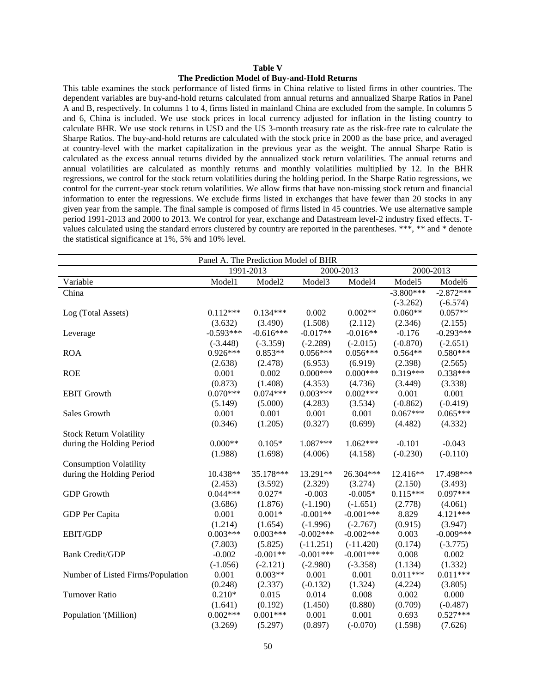#### **Table V**

#### **The Prediction Model of Buy-and-Hold Returns**

This table examines the stock performance of listed firms in China relative to listed firms in other countries. The dependent variables are buy-and-hold returns calculated from annual returns and annualized Sharpe Ratios in Panel A and B, respectively. In columns 1 to 4, firms listed in mainland China are excluded from the sample. In columns 5 and 6, China is included. We use stock prices in local currency adjusted for inflation in the listing country to calculate BHR. We use stock returns in USD and the US 3-month treasury rate as the risk-free rate to calculate the Sharpe Ratios. The buy-and-hold returns are calculated with the stock price in 2000 as the base price, and averaged at country-level with the market capitalization in the previous year as the weight. The annual Sharpe Ratio is calculated as the excess annual returns divided by the annualized stock return volatilities. The annual returns and annual volatilities are calculated as monthly returns and monthly volatilities multiplied by 12. In the BHR regressions, we control for the stock return volatilities during the holding period. In the Sharpe Ratio regressions, we control for the current-year stock return volatilities. We allow firms that have non-missing stock return and financial information to enter the regressions. We exclude firms listed in exchanges that have fewer than 20 stocks in any given year from the sample. The final sample is composed of firms listed in 45 countries. We use alternative sample period 1991-2013 and 2000 to 2013. We control for year, exchange and Datastream level-2 industry fixed effects. Tvalues calculated using the standard errors clustered by country are reported in the parentheses. \*\*\*, \*\* and \* denote the statistical significance at 1%, 5% and 10% level.

| Panel A. The Prediction Model of BHR |             |              |             |             |             |             |  |
|--------------------------------------|-------------|--------------|-------------|-------------|-------------|-------------|--|
|                                      |             | 1991-2013    |             | 2000-2013   |             | 2000-2013   |  |
| Variable                             | Model1      | Model2       | Model3      | Model4      | Model5      | Model6      |  |
| China                                |             |              |             |             | $-3.800***$ | $-2.872***$ |  |
|                                      |             |              |             |             | $(-3.262)$  | $(-6.574)$  |  |
| Log (Total Assets)                   | $0.112***$  | $0.134***$   | 0.002       | $0.002**$   | $0.060**$   | $0.057**$   |  |
|                                      | (3.632)     | (3.490)      | (1.508)     | (2.112)     | (2.346)     | (2.155)     |  |
| Leverage                             | $-0.593***$ | $-0.616***$  | $-0.017**$  | $-0.016**$  | $-0.176$    | $-0.293***$ |  |
|                                      | $(-3.448)$  | $(-3.359)$   | $(-2.289)$  | $(-2.015)$  | $(-0.870)$  | $(-2.651)$  |  |
| <b>ROA</b>                           | $0.926***$  | $0.853**$    | $0.056***$  | $0.056***$  | $0.564**$   | $0.580***$  |  |
|                                      | (2.638)     | (2.478)      | (6.953)     | (6.919)     | (2.398)     | (2.565)     |  |
| <b>ROE</b>                           | 0.001       | 0.002        | $0.000***$  | $0.000***$  | $0.319***$  | $0.338***$  |  |
|                                      | (0.873)     | (1.408)      | (4.353)     | (4.736)     | (3.449)     | (3.338)     |  |
| <b>EBIT Growth</b>                   | $0.070***$  | $0.074***$   | $0.003***$  | $0.002***$  | 0.001       | 0.001       |  |
|                                      | (5.149)     | (5.000)      | (4.283)     | (3.534)     | $(-0.862)$  | $(-0.419)$  |  |
| Sales Growth                         | 0.001       | 0.001        | 0.001       | 0.001       | $0.067***$  | $0.065***$  |  |
|                                      | (0.346)     | (1.205)      | (0.327)     | (0.699)     | (4.482)     | (4.332)     |  |
| <b>Stock Return Volatility</b>       |             |              |             |             |             |             |  |
| during the Holding Period            | $0.000**$   | $0.105*$     | 1.087***    | $1.062***$  | $-0.101$    | $-0.043$    |  |
|                                      | (1.988)     | (1.698)      | (4.006)     | (4.158)     | $(-0.230)$  | $(-0.110)$  |  |
| <b>Consumption Volatility</b>        |             |              |             |             |             |             |  |
| during the Holding Period            | 10.438**    | 35.178***    | 13.291**    | 26.304***   | 12.416**    | 17.498***   |  |
|                                      | (2.453)     | (3.592)      | (2.329)     | (3.274)     | (2.150)     | (3.493)     |  |
| <b>GDP</b> Growth                    | $0.044***$  | $0.027*$     | $-0.003$    | $-0.005*$   | $0.115***$  | $0.097***$  |  |
|                                      | (3.686)     | (1.876)      | $(-1.190)$  | $(-1.651)$  | (2.778)     | (4.061)     |  |
| GDP Per Capita                       | 0.001       | $0.001\,{*}$ | $-0.001**$  | $-0.001***$ | 8.829       | 4.121***    |  |
|                                      | (1.214)     | (1.654)      | $(-1.996)$  | $(-2.767)$  | (0.915)     | (3.947)     |  |
| <b>EBIT/GDP</b>                      | $0.003***$  | $0.003***$   | $-0.002***$ | $-0.002***$ | 0.003       | $-0.009***$ |  |
|                                      | (7.803)     | (5.825)      | $(-11.251)$ | $(-11.420)$ | (0.174)     | $(-3.775)$  |  |
| <b>Bank Credit/GDP</b>               | $-0.002$    | $-0.001**$   | $-0.001***$ | $-0.001***$ | 0.008       | 0.002       |  |
|                                      | $(-1.056)$  | $(-2.121)$   | $(-2.980)$  | $(-3.358)$  | (1.134)     | (1.332)     |  |
| Number of Listed Firms/Population    | 0.001       | $0.003**$    | 0.001       | 0.001       | $0.011***$  | $0.011***$  |  |
|                                      | (0.248)     | (2.337)      | $(-0.132)$  | (1.324)     | (4.224)     | (3.805)     |  |
| <b>Turnover Ratio</b>                | $0.210*$    | 0.015        | 0.014       | 0.008       | 0.002       | 0.000       |  |
|                                      | (1.641)     | (0.192)      | (1.450)     | (0.880)     | (0.709)     | $(-0.487)$  |  |
| Population '(Million)                | $0.002***$  | $0.001***$   | 0.001       | 0.001       | 0.693       | $0.527***$  |  |
|                                      | (3.269)     | (5.297)      | (0.897)     | $(-0.070)$  | (1.598)     | (7.626)     |  |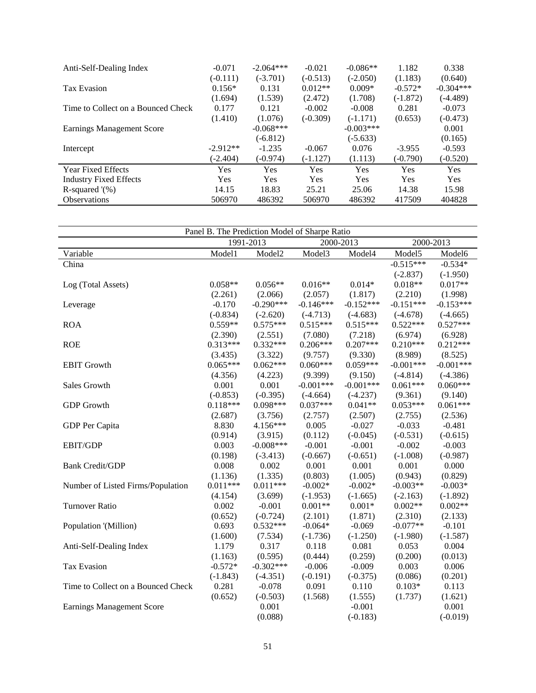| Anti-Self-Dealing Index            | $-0.071$   | $-2.064***$ | $-0.021$   | $-0.086**$  | 1.182      | 0.338       |
|------------------------------------|------------|-------------|------------|-------------|------------|-------------|
|                                    | $(-0.111)$ | $(-3.701)$  | $(-0.513)$ | $(-2.050)$  | (1.183)    | (0.640)     |
| Tax Evasion                        | $0.156*$   | 0.131       | $0.012**$  | $0.009*$    | $-0.572*$  | $-0.304***$ |
|                                    | (1.694)    | (1.539)     | (2.472)    | (1.708)     | $(-1.872)$ | (-4.489)    |
| Time to Collect on a Bounced Check | 0.177      | 0.121       | $-0.002$   | $-0.008$    | 0.281      | $-0.073$    |
|                                    | (1.410)    | (1.076)     | $(-0.309)$ | $(-1.171)$  | (0.653)    | $(-0.473)$  |
| <b>Earnings Management Score</b>   |            | $-0.068***$ |            | $-0.003***$ |            | 0.001       |
|                                    |            | $(-6.812)$  |            | $(-5.633)$  |            | (0.165)     |
| Intercept                          | $-2.912**$ | $-1.235$    | $-0.067$   | 0.076       | $-3.955$   | $-0.593$    |
|                                    | $(-2.404)$ | $(-0.974)$  | $(-1.127)$ | (1.113)     | $(-0.790)$ | $(-0.520)$  |
| <b>Year Fixed Effects</b>          | Yes        | Yes         | Yes        | <b>Yes</b>  | Yes        | <b>Yes</b>  |
| <b>Industry Fixed Effects</b>      | Yes        | Yes         | Yes        | <b>Yes</b>  | Yes        | <b>Yes</b>  |
| R-squared $\%$ )                   | 14.15      | 18.83       | 25.21      | 25.06       | 14.38      | 15.98       |
| <b>Observations</b>                | 506970     | 486392      | 506970     | 486392      | 417509     | 404828      |

| Panel B. The Prediction Model of Sharpe Ratio |            |                    |             |             |             |             |
|-----------------------------------------------|------------|--------------------|-------------|-------------|-------------|-------------|
|                                               |            | 1991-2013          |             | 2000-2013   | 2000-2013   |             |
| Variable                                      | Model1     | Model <sub>2</sub> | Model3      | Model4      | Model5      | Model6      |
| China                                         |            |                    |             |             | $-0.515***$ | $-0.534*$   |
|                                               |            |                    |             |             | $(-2.837)$  | $(-1.950)$  |
| Log (Total Assets)                            | $0.058**$  | $0.056**$          | $0.016**$   | $0.014*$    | $0.018**$   | $0.017**$   |
|                                               | (2.261)    | (2.066)            | (2.057)     | (1.817)     | (2.210)     | (1.998)     |
| Leverage                                      | $-0.170$   | $-0.290***$        | $-0.146***$ | $-0.152***$ | $-0.151***$ | $-0.153***$ |
|                                               | $(-0.834)$ | $(-2.620)$         | $(-4.713)$  | $(-4.683)$  | $(-4.678)$  | $(-4.665)$  |
| <b>ROA</b>                                    | $0.559**$  | $0.575***$         | $0.515***$  | $0.515***$  | $0.522***$  | $0.527***$  |
|                                               | (2.390)    | (2.551)            | (7.080)     | (7.218)     | (6.974)     | (6.928)     |
| <b>ROE</b>                                    | $0.313***$ | $0.332***$         | $0.206***$  | $0.207***$  | $0.210***$  | $0.212***$  |
|                                               | (3.435)    | (3.322)            | (9.757)     | (9.330)     | (8.989)     | (8.525)     |
| <b>EBIT Growth</b>                            | $0.065***$ | $0.062***$         | $0.060***$  | $0.059***$  | $-0.001***$ | $-0.001***$ |
|                                               | (4.356)    | (4.223)            | (9.399)     | (9.150)     | $(-4.814)$  | $(-4.386)$  |
| Sales Growth                                  | 0.001      | 0.001              | $-0.001***$ | $-0.001***$ | $0.061***$  | $0.060***$  |
|                                               | $(-0.853)$ | $(-0.395)$         | $(-4.664)$  | $(-4.237)$  | (9.361)     | (9.140)     |
| <b>GDP</b> Growth                             | $0.118***$ | $0.098***$         | $0.037***$  | $0.041**$   | $0.053***$  | $0.061***$  |
|                                               | (2.687)    | (3.756)            | (2.757)     | (2.507)     | (2.755)     | (2.536)     |
| GDP Per Capita                                | 8.830      | 4.156***           | 0.005       | $-0.027$    | $-0.033$    | $-0.481$    |
|                                               | (0.914)    | (3.915)            | (0.112)     | $(-0.045)$  | $(-0.531)$  | $(-0.615)$  |
| EBIT/GDP                                      | 0.003      | $-0.008***$        | $-0.001$    | $-0.001$    | $-0.002$    | $-0.003$    |
|                                               | (0.198)    | $(-3.413)$         | $(-0.667)$  | $(-0.651)$  | $(-1.008)$  | $(-0.987)$  |
| <b>Bank Credit/GDP</b>                        | 0.008      | 0.002              | 0.001       | 0.001       | 0.001       | 0.000       |
|                                               | (1.136)    | (1.335)            | (0.803)     | (1.005)     | (0.943)     | (0.829)     |
| Number of Listed Firms/Population             | $0.011***$ | $0.011***$         | $-0.002*$   | $-0.002*$   | $-0.003**$  | $-0.003*$   |
|                                               | (4.154)    | (3.699)            | $(-1.953)$  | $(-1.665)$  | $(-2.163)$  | $(-1.892)$  |
| <b>Turnover Ratio</b>                         | 0.002      | $-0.001$           | $0.001**$   | $0.001*$    | $0.002**$   | $0.002**$   |
|                                               | (0.652)    | $(-0.724)$         | (2.101)     | (1.871)     | (2.310)     | (2.133)     |
| Population '(Million)                         | 0.693      | $0.532***$         | $-0.064*$   | $-0.069$    | $-0.077**$  | $-0.101$    |
|                                               | (1.600)    | (7.534)            | $(-1.736)$  | $(-1.250)$  | $(-1.980)$  | $(-1.587)$  |
| Anti-Self-Dealing Index                       | 1.179      | 0.317              | 0.118       | 0.081       | 0.053       | 0.004       |
|                                               | (1.163)    | (0.595)            | (0.444)     | (0.259)     | (0.200)     | (0.013)     |
| <b>Tax Evasion</b>                            | $-0.572*$  | $-0.302***$        | $-0.006$    | $-0.009$    | 0.003       | 0.006       |
|                                               | $(-1.843)$ | $(-4.351)$         | $(-0.191)$  | $(-0.375)$  | (0.086)     | (0.201)     |
| Time to Collect on a Bounced Check            | 0.281      | $-0.078$           | 0.091       | 0.110       | $0.103*$    | 0.113       |
|                                               | (0.652)    | $(-0.503)$         | (1.568)     | (1.555)     | (1.737)     | (1.621)     |
| <b>Earnings Management Score</b>              |            | 0.001              |             | $-0.001$    |             | 0.001       |
|                                               |            | (0.088)            |             | $(-0.183)$  |             | $(-0.019)$  |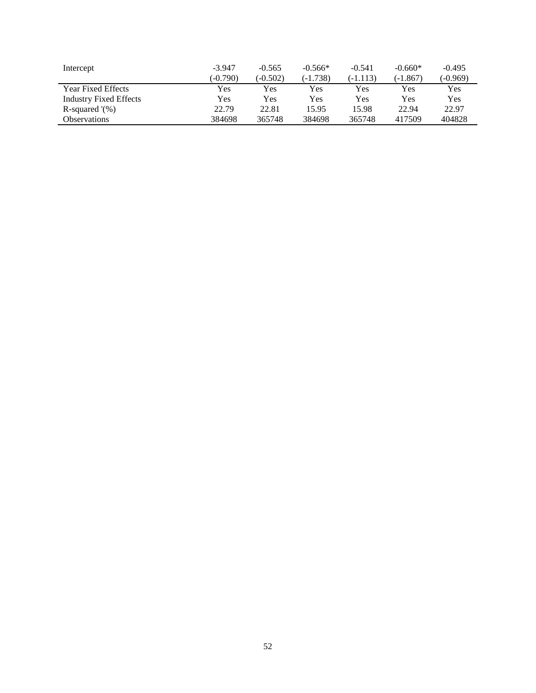| Intercept                     | $-3.947$<br>$(-0.790)$ | $-0.565$<br>$(-0.502)$ | $-0.566*$<br>$(-1.738)$ | $-0.541$<br>(-1.113) | $-0.660*$<br>(-1.867) | $-0.495$<br>(-0.969) |
|-------------------------------|------------------------|------------------------|-------------------------|----------------------|-----------------------|----------------------|
| <b>Year Fixed Effects</b>     | Yes                    | Yes                    | Yes                     | Yes                  | Yes                   | Yes                  |
| <b>Industry Fixed Effects</b> | Yes                    | Yes                    | Yes                     | Yes                  | Yes                   | Yes                  |
| R-squared $\%$ )              | 22.79                  | 22.81                  | 15.95                   | 15.98                | 22.94                 | 22.97                |
| <b>Observations</b>           | 384698                 | 365748                 | 384698                  | 365748               | 417509                | 404828               |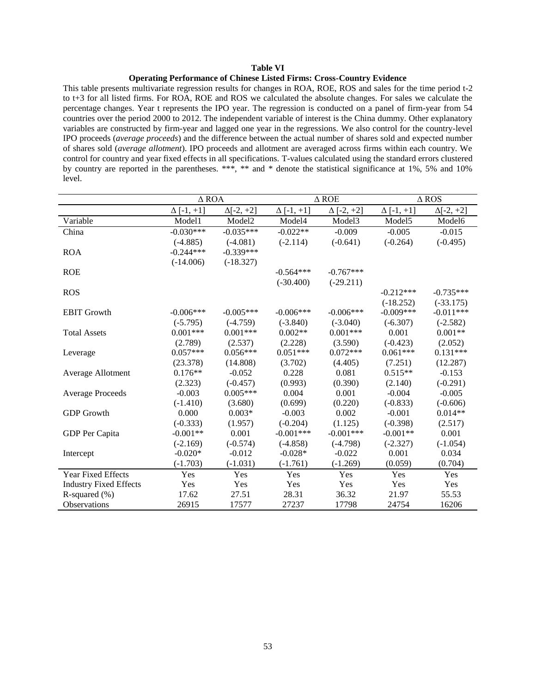#### **Table VI**

#### **Operating Performance of Chinese Listed Firms: Cross-Country Evidence**

This table presents multivariate regression results for changes in ROA, ROE, ROS and sales for the time period t-2 to t+3 for all listed firms. For ROA, ROE and ROS we calculated the absolute changes. For sales we calculate the percentage changes. Year t represents the IPO year. The regression is conducted on a panel of firm-year from 54 countries over the period 2000 to 2012. The independent variable of interest is the China dummy. Other explanatory variables are constructed by firm-year and lagged one year in the regressions. We also control for the country-level IPO proceeds (*average proceeds*) and the difference between the actual number of shares sold and expected number of shares sold (*average allotment*). IPO proceeds and allotment are averaged across firms within each country. We control for country and year fixed effects in all specifications. T-values calculated using the standard errors clustered by country are reported in the parentheses. \*\*\*, \*\* and \* denote the statistical significance at 1%, 5% and 10% level.

|                               |                   | $\triangle$ ROA  |                   | $\triangle$ ROE   | $\triangle$ ROS    |                    |
|-------------------------------|-------------------|------------------|-------------------|-------------------|--------------------|--------------------|
|                               | $\Delta$ [-1, +1] | $\Delta[-2, +2]$ | $\Delta$ [-1, +1] | $\Delta$ [-2, +2] | $\Delta[-1,+1]$    | $\Delta[-2, +2]$   |
| Variable                      | Model1            | Model2           | Model4            | Model3            | Model <sub>5</sub> | Model <sub>6</sub> |
| China                         | $-0.030***$       | $-0.035***$      | $-0.022**$        | $-0.009$          | $-0.005$           | $-0.015$           |
|                               | $(-4.885)$        | $(-4.081)$       | $(-2.114)$        | $(-0.641)$        | $(-0.264)$         | $(-0.495)$         |
| <b>ROA</b>                    | $-0.244***$       | $-0.339***$      |                   |                   |                    |                    |
|                               | $(-14.006)$       | $(-18.327)$      |                   |                   |                    |                    |
| <b>ROE</b>                    |                   |                  | $-0.564***$       | $-0.767***$       |                    |                    |
|                               |                   |                  | $(-30.400)$       | $(-29.211)$       |                    |                    |
| <b>ROS</b>                    |                   |                  |                   |                   | $-0.212***$        | $-0.735***$        |
|                               |                   |                  |                   |                   | $(-18.252)$        | $(-33.175)$        |
| <b>EBIT Growth</b>            | $-0.006***$       | $-0.005***$      | $-0.006***$       | $-0.006***$       | $-0.009***$        | $-0.011***$        |
|                               | $(-5.795)$        | $(-4.759)$       | $(-3.840)$        | $(-3.040)$        | $(-6.307)$         | $(-2.582)$         |
| <b>Total Assets</b>           | $0.001***$        | $0.001***$       | $0.002**$         | $0.001***$        | 0.001              | $0.001**$          |
|                               | (2.789)           | (2.537)          | (2.228)           | (3.590)           | $(-0.423)$         | (2.052)            |
| Leverage                      | $0.057***$        | $0.056***$       | $0.051***$        | $0.072***$        | $0.061***$         | $0.131***$         |
|                               | (23.378)          | (14.808)         | (3.702)           | (4.405)           | (7.251)            | (12.287)           |
| Average Allotment             | $0.176**$         | $-0.052$         | 0.228             | 0.081             | $0.515**$          | $-0.153$           |
|                               | (2.323)           | $(-0.457)$       | (0.993)           | (0.390)           | (2.140)            | $(-0.291)$         |
| <b>Average Proceeds</b>       | $-0.003$          | $0.005***$       | 0.004             | 0.001             | $-0.004$           | $-0.005$           |
|                               | $(-1.410)$        | (3.680)          | (0.699)           | (0.220)           | $(-0.833)$         | $(-0.606)$         |
| <b>GDP</b> Growth             | 0.000             | $0.003*$         | $-0.003$          | 0.002             | $-0.001$           | $0.014**$          |
|                               | $(-0.333)$        | (1.957)          | $(-0.204)$        | (1.125)           | $(-0.398)$         | (2.517)            |
| GDP Per Capita                | $-0.001**$        | 0.001            | $-0.001***$       | $-0.001***$       | $-0.001**$         | 0.001              |
|                               | $(-2.169)$        | $(-0.574)$       | $(-4.858)$        | $(-4.798)$        | $(-2.327)$         | $(-1.054)$         |
| Intercept                     | $-0.020*$         | $-0.012$         | $-0.028*$         | $-0.022$          | 0.001              | 0.034              |
|                               | $(-1.703)$        | $(-1.031)$       | $(-1.761)$        | $(-1.269)$        | (0.059)            | (0.704)            |
| Year Fixed Effects            | Yes               | Yes              | Yes               | Yes               | Yes                | Yes                |
| <b>Industry Fixed Effects</b> | Yes               | Yes              | Yes               | Yes               | Yes                | Yes                |
| R-squared $(\% )$             | 17.62             | 27.51            | 28.31             | 36.32             | 21.97              | 55.53              |
| Observations                  | 26915             | 17577            | 27237             | 17798             | 24754              | 16206              |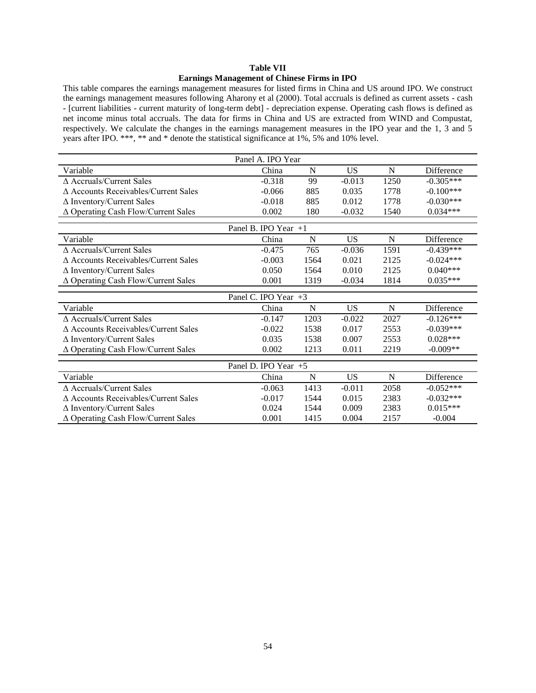## **Table VII Earnings Management of Chinese Firms in IPO**

This table compares the earnings management measures for listed firms in China and US around IPO. We construct the earnings management measures following Aharony et al (2000). Total accruals is defined as current assets - cash - [current liabilities - current maturity of long-term debt] - depreciation expense. Operating cash flows is defined as net income minus total accruals. The data for firms in China and US are extracted from WIND and Compustat, respectively. We calculate the changes in the earnings management measures in the IPO year and the 1, 3 and 5 years after IPO. \*\*\*, \*\* and \* denote the statistical significance at 1%, 5% and 10% level.

| Panel A. IPO Year                              |                      |      |           |      |             |  |  |
|------------------------------------------------|----------------------|------|-----------|------|-------------|--|--|
| Variable                                       | China                | N    | <b>US</b> | N    | Difference  |  |  |
| $\triangle$ Accruals/Current Sales             | $-0.318$             | 99   | $-0.013$  | 1250 | $-0.305***$ |  |  |
| $\triangle$ Accounts Receivables/Current Sales | $-0.066$             | 885  | 0.035     | 1778 | $-0.100***$ |  |  |
| $\Delta$ Inventory/Current Sales               | $-0.018$             | 885  | 0.012     | 1778 | $-0.030***$ |  |  |
| $\Delta$ Operating Cash Flow/Current Sales     | 0.002                | 180  | $-0.032$  | 1540 | $0.034***$  |  |  |
|                                                | Panel B. IPO Year +1 |      |           |      |             |  |  |
| Variable                                       | China                | N    | <b>US</b> | N    | Difference  |  |  |
| $\Delta$ Accruals/Current Sales                | $-0.475$             | 765  | $-0.036$  | 1591 | $-0.439***$ |  |  |
| ∆ Accounts Receivables/Current Sales           | $-0.003$             | 1564 | 0.021     | 2125 | $-0.024***$ |  |  |
| $\Delta$ Inventory/Current Sales               | 0.050                | 1564 | 0.010     | 2125 | $0.040***$  |  |  |
| ∆ Operating Cash Flow/Current Sales            | 0.001                | 1319 | $-0.034$  | 1814 | $0.035***$  |  |  |
|                                                | Panel C. IPO Year +3 |      |           |      |             |  |  |
| Variable                                       | China                | N    | US        | N    | Difference  |  |  |
| $\triangle$ Accruals/Current Sales             | $-0.147$             | 1203 | $-0.022$  | 2027 | $-0.126***$ |  |  |
| $\triangle$ Accounts Receivables/Current Sales | $-0.022$             | 1538 | 0.017     | 2553 | $-0.039***$ |  |  |
| $\Delta$ Inventory/Current Sales               | 0.035                | 1538 | 0.007     | 2553 | $0.028***$  |  |  |
| $\Delta$ Operating Cash Flow/Current Sales     | 0.002                | 1213 | 0.011     | 2219 | $-0.009**$  |  |  |
|                                                | Panel D. IPO Year +5 |      |           |      |             |  |  |
| Variable                                       | China                | N    | <b>US</b> | N    | Difference  |  |  |
| ∆ Accruals/Current Sales                       | $-0.063$             | 1413 | $-0.011$  | 2058 | $-0.052***$ |  |  |
| ∆ Accounts Receivables/Current Sales           | $-0.017$             | 1544 | 0.015     | 2383 | $-0.032***$ |  |  |
| $\Delta$ Inventory/Current Sales               | 0.024                | 1544 | 0.009     | 2383 | $0.015***$  |  |  |
| $\Delta$ Operating Cash Flow/Current Sales     | 0.001                | 1415 | 0.004     | 2157 | $-0.004$    |  |  |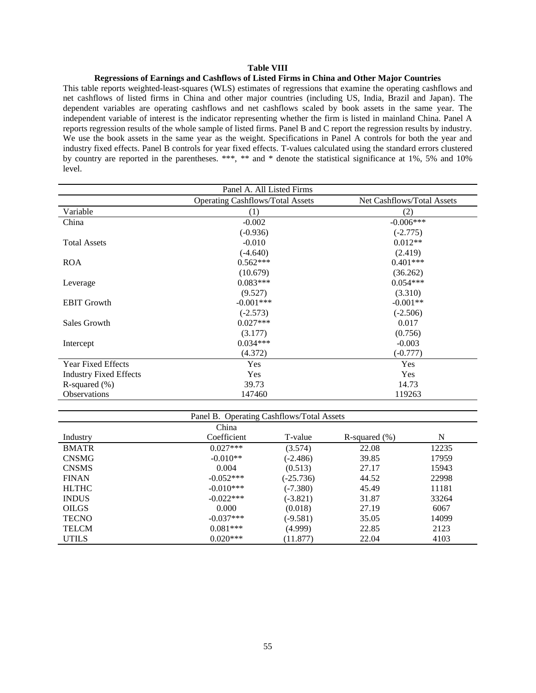## **Table VIII**

#### **Regressions of Earnings and Cashflows of Listed Firms in China and Other Major Countries**

This table reports weighted-least-squares (WLS) estimates of regressions that examine the operating cashflows and net cashflows of listed firms in China and other major countries (including US, India, Brazil and Japan). The dependent variables are operating cashflows and net cashflows scaled by book assets in the same year. The independent variable of interest is the indicator representing whether the firm is listed in mainland China. Panel A reports regression results of the whole sample of listed firms. Panel B and C report the regression results by industry. We use the book assets in the same year as the weight. Specifications in Panel A controls for both the year and industry fixed effects. Panel B controls for year fixed effects. T-values calculated using the standard errors clustered by country are reported in the parentheses. \*\*\*, \*\* and \* denote the statistical significance at 1%, 5% and 10% level.

| Panel A. All Listed Firms     |                                         |                            |  |  |  |  |  |
|-------------------------------|-----------------------------------------|----------------------------|--|--|--|--|--|
|                               | <b>Operating Cashflows/Total Assets</b> | Net Cashflows/Total Assets |  |  |  |  |  |
| Variable                      | (1)                                     | (2)                        |  |  |  |  |  |
| China                         | $-0.002$                                | $-0.006***$                |  |  |  |  |  |
|                               | $(-0.936)$                              | $(-2.775)$                 |  |  |  |  |  |
| <b>Total Assets</b>           | $-0.010$                                | $0.012**$                  |  |  |  |  |  |
|                               | $(-4.640)$                              | (2.419)                    |  |  |  |  |  |
| <b>ROA</b>                    | $0.562***$                              | $0.401***$                 |  |  |  |  |  |
|                               | (10.679)                                | (36.262)                   |  |  |  |  |  |
| Leverage                      | $0.083***$                              | $0.054***$                 |  |  |  |  |  |
|                               | (9.527)                                 | (3.310)                    |  |  |  |  |  |
| <b>EBIT Growth</b>            | $-0.001***$                             | $-0.001**$                 |  |  |  |  |  |
|                               | $(-2.573)$                              | $(-2.506)$                 |  |  |  |  |  |
| Sales Growth                  | $0.027***$                              | 0.017                      |  |  |  |  |  |
|                               | (3.177)                                 | (0.756)                    |  |  |  |  |  |
| Intercept                     | $0.034***$                              | $-0.003$                   |  |  |  |  |  |
|                               | (4.372)                                 | $(-0.777)$                 |  |  |  |  |  |
| <b>Year Fixed Effects</b>     | Yes                                     | Yes                        |  |  |  |  |  |
| <b>Industry Fixed Effects</b> | Yes                                     | Yes                        |  |  |  |  |  |
| R-squared $(\%)$              | 39.73                                   | 14.73                      |  |  |  |  |  |
| <b>Observations</b>           | 147460                                  | 119263                     |  |  |  |  |  |

| Panel B. Operating Cashflows/Total Assets |             |             |                  |       |  |  |  |  |  |  |
|-------------------------------------------|-------------|-------------|------------------|-------|--|--|--|--|--|--|
| China                                     |             |             |                  |       |  |  |  |  |  |  |
| Industry                                  | Coefficient | T-value     | R-squared $(\%)$ | N     |  |  |  |  |  |  |
| <b>BMATR</b>                              | $0.027***$  | (3.574)     | 22.08            | 12235 |  |  |  |  |  |  |
| <b>CNSMG</b>                              | $-0.010**$  | $(-2.486)$  | 39.85            | 17959 |  |  |  |  |  |  |
| <b>CNSMS</b>                              | 0.004       | (0.513)     | 27.17            | 15943 |  |  |  |  |  |  |
| <b>FINAN</b>                              | $-0.052***$ | $(-25.736)$ | 44.52            | 22998 |  |  |  |  |  |  |
| <b>HLTHC</b>                              | $-0.010***$ | $(-7.380)$  | 45.49            | 11181 |  |  |  |  |  |  |
| <b>INDUS</b>                              | $-0.022***$ | $(-3.821)$  | 31.87            | 33264 |  |  |  |  |  |  |
| <b>OILGS</b>                              | 0.000       | (0.018)     | 27.19            | 6067  |  |  |  |  |  |  |
| <b>TECNO</b>                              | $-0.037***$ | $(-9.581)$  | 35.05            | 14099 |  |  |  |  |  |  |
| <b>TELCM</b>                              | $0.081***$  | (4.999)     | 22.85            | 2123  |  |  |  |  |  |  |
| <b>UTILS</b>                              | $0.020***$  | (11.877)    | 22.04            | 4103  |  |  |  |  |  |  |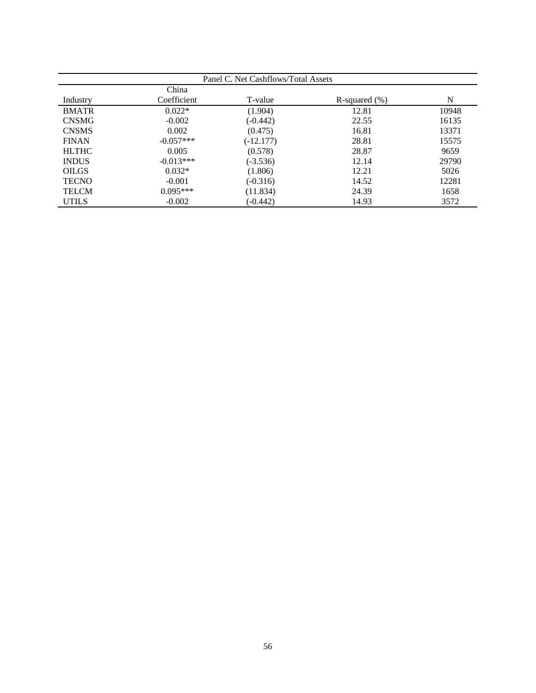|              | Panel C. Net Cashflows/Total Assets |             |                   |       |  |  |  |  |  |
|--------------|-------------------------------------|-------------|-------------------|-------|--|--|--|--|--|
|              | China                               |             |                   |       |  |  |  |  |  |
| Industry     | Coefficient                         | T-value     | R-squared $(\% )$ | N     |  |  |  |  |  |
| <b>BMATR</b> | $0.022*$                            | (1.904)     | 12.81             | 10948 |  |  |  |  |  |
| <b>CNSMG</b> | $-0.002$                            | (-0.442)    | 22.55             | 16135 |  |  |  |  |  |
| <b>CNSMS</b> | 0.002                               | (0.475)     | 16.81             | 13371 |  |  |  |  |  |
| <b>FINAN</b> | $-0.057***$                         | $(-12.177)$ | 28.81             | 15575 |  |  |  |  |  |
| <b>HLTHC</b> | 0.005                               | (0.578)     | 28.87             | 9659  |  |  |  |  |  |
| <b>INDUS</b> | $-0.013***$                         | $(-3.536)$  | 12.14             | 29790 |  |  |  |  |  |
| <b>OILGS</b> | $0.032*$                            | (1.806)     | 12.21             | 5026  |  |  |  |  |  |
| <b>TECNO</b> | $-0.001$                            | $(-0.316)$  | 14.52             | 12281 |  |  |  |  |  |
| <b>TELCM</b> | $0.095***$                          | (11.834)    | 24.39             | 1658  |  |  |  |  |  |
| <b>UTILS</b> | $-0.002$                            | $(-0.442)$  | 14.93             | 3572  |  |  |  |  |  |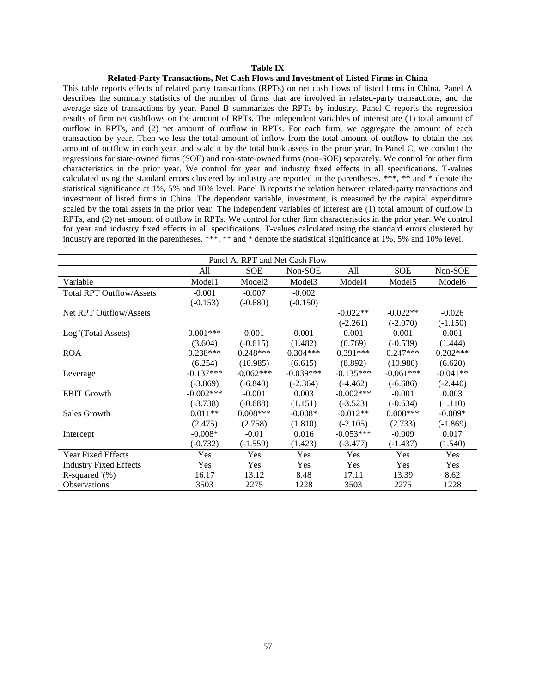#### **Table IX**

#### **Related-Party Transactions, Net Cash Flows and Investment of Listed Firms in China**

This table reports effects of related party transactions (RPTs) on net cash flows of listed firms in China. Panel A describes the summary statistics of the number of firms that are involved in related-party transactions, and the average size of transactions by year. Panel B summarizes the RPTs by industry. Panel C reports the regression results of firm net cashflows on the amount of RPTs. The independent variables of interest are (1) total amount of outflow in RPTs, and (2) net amount of outflow in RPTs. For each firm, we aggregate the amount of each transaction by year. Then we less the total amount of inflow from the total amount of outflow to obtain the net amount of outflow in each year, and scale it by the total book assets in the prior year. In Panel C, we conduct the regressions for state-owned firms (SOE) and non-state-owned firms (non-SOE) separately. We control for other firm characteristics in the prior year. We control for year and industry fixed effects in all specifications. T-values calculated using the standard errors clustered by industry are reported in the parentheses. \*\*\*, \*\* and \* denote the statistical significance at 1%, 5% and 10% level. Panel B reports the relation between related-party transactions and investment of listed firms in China. The dependent variable, investment, is measured by the capital expenditure scaled by the total assets in the prior year. The independent variables of interest are (1) total amount of outflow in RPTs, and (2) net amount of outflow in RPTs. We control for other firm characteristics in the prior year. We control for year and industry fixed effects in all specifications. T-values calculated using the standard errors clustered by industry are reported in the parentheses. \*\*\*, \*\* and \* denote the statistical significance at 1%, 5% and 10% level.

| Panel A. RPT and Net Cash Flow  |             |                    |                    |              |                    |                    |  |  |
|---------------------------------|-------------|--------------------|--------------------|--------------|--------------------|--------------------|--|--|
|                                 | All         | <b>SOE</b>         | Non-SOE            | All          | <b>SOE</b>         | Non-SOE            |  |  |
| Variable                        | Model1      | Model <sub>2</sub> | Model <sub>3</sub> | Model4       | Model <sub>5</sub> | Model <sub>6</sub> |  |  |
| <b>Total RPT Outflow/Assets</b> | $-0.001$    | $-0.007$           | $-0.002$           |              |                    |                    |  |  |
|                                 | $(-0.153)$  | $(-0.680)$         | $(-0.150)$         |              |                    |                    |  |  |
| Net RPT Outflow/Assets          |             |                    |                    | $-0.022**$   | $-0.022**$         | $-0.026$           |  |  |
|                                 |             |                    |                    | $(-2.261)$   | $(-2.070)$         | $(-1.150)$         |  |  |
| Log '(Total Assets)             | $0.001***$  | 0.001              | 0.001              | 0.001        | 0.001              | 0.001              |  |  |
|                                 | (3.604)     | $(-0.615)$         | (1.482)            | (0.769)      | $(-0.539)$         | (1.444)            |  |  |
| <b>ROA</b>                      | $0.238***$  | $0.248***$         | $0.304***$         | $0.391***$   | $0.247***$         | $0.202***$         |  |  |
|                                 | (6.254)     | (10.985)           | (6.615)            | (8.892)      | (10.980)           | (6.620)            |  |  |
| Leverage                        | $-0.137***$ | $-0.062***$        | $-0.039***$        | $-0.135***$  | $-0.061***$        | $-0.041**$         |  |  |
|                                 | $(-3.869)$  | $(-6.840)$         | $(-2.364)$         | $(-4.462)$   | $(-6.686)$         | $(-2.440)$         |  |  |
| <b>EBIT Growth</b>              | $-0.002***$ | $-0.001$           | 0.003              | $-0.002$ *** | $-0.001$           | 0.003              |  |  |
|                                 | $(-3.738)$  | $(-0.688)$         | (1.151)            | $(-3.523)$   | $(-0.634)$         | (1.110)            |  |  |
| Sales Growth                    | $0.011**$   | $0.008***$         | $-0.008*$          | $-0.012**$   | $0.008***$         | $-0.009*$          |  |  |
|                                 | (2.475)     | (2.758)            | (1.810)            | $(-2.105)$   | (2.733)            | $(-1.869)$         |  |  |
| Intercept                       | $-0.008*$   | $-0.01$            | 0.016              | $-0.053***$  | $-0.009$           | 0.017              |  |  |
|                                 | $(-0.732)$  | $(-1.559)$         | (1.423)            | $(-3.477)$   | $(-1.437)$         | (1.540)            |  |  |
| <b>Year Fixed Effects</b>       | Yes         | Yes                | Yes                | Yes          | Yes                | Yes                |  |  |
| <b>Industry Fixed Effects</b>   | Yes         | Yes                | Yes                | <b>Yes</b>   | <b>Yes</b>         | Yes                |  |  |
| R-squared $\%$ )                | 16.17       | 13.12              | 8.48               | 17.11        | 13.39              | 8.62               |  |  |
| <b>Observations</b>             | 3503        | 2275               | 1228               | 3503         | 2275               | 1228               |  |  |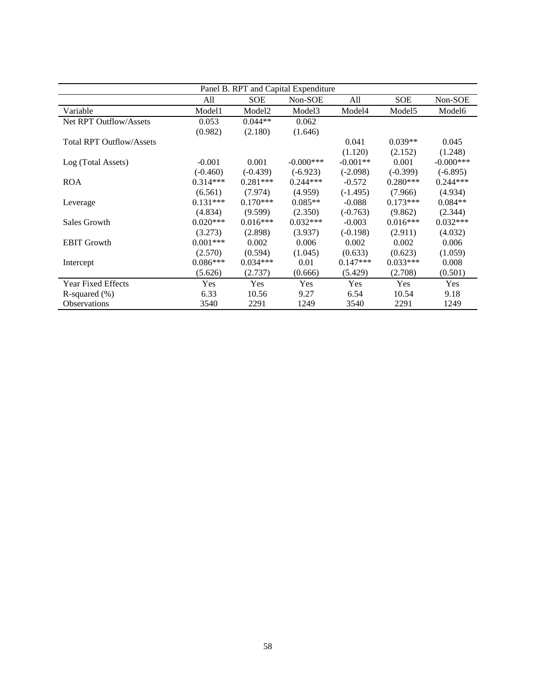| Panel B. RPT and Capital Expenditure |            |                    |                    |            |                    |                    |  |
|--------------------------------------|------------|--------------------|--------------------|------------|--------------------|--------------------|--|
|                                      | All        | <b>SOE</b>         | Non-SOE            | All        | <b>SOE</b>         | Non-SOE            |  |
| Variable                             | Model1     | Model <sub>2</sub> | Model <sub>3</sub> | Model4     | Model <sub>5</sub> | Model <sub>6</sub> |  |
| Net RPT Outflow/Assets               | 0.053      | $0.044**$          | 0.062              |            |                    |                    |  |
|                                      | (0.982)    | (2.180)            | (1.646)            |            |                    |                    |  |
| <b>Total RPT Outflow/Assets</b>      |            |                    |                    | 0.041      | $0.039**$          | 0.045              |  |
|                                      |            |                    |                    | (1.120)    | (2.152)            | (1.248)            |  |
| Log (Total Assets)                   | $-0.001$   | 0.001              | $-0.000$ ***       | $-0.001**$ | 0.001              | $-0.000$ ***       |  |
|                                      | $(-0.460)$ | $(-0.439)$         | $(-6.923)$         | $(-2.098)$ | $(-0.399)$         | $(-6.895)$         |  |
| <b>ROA</b>                           | $0.314***$ | $0.281***$         | $0.244***$         | $-0.572$   | $0.280***$         | $0.244***$         |  |
|                                      | (6.561)    | (7.974)            | (4.959)            | $(-1.495)$ | (7.966)            | (4.934)            |  |
| Leverage                             | $0.131***$ | $0.170***$         | $0.085**$          | $-0.088$   | $0.173***$         | $0.084**$          |  |
|                                      | (4.834)    | (9.599)            | (2.350)            | $(-0.763)$ | (9.862)            | (2.344)            |  |
| Sales Growth                         | $0.020***$ | $0.016***$         | $0.032***$         | $-0.003$   | $0.016***$         | $0.032***$         |  |
|                                      | (3.273)    | (2.898)            | (3.937)            | $(-0.198)$ | (2.911)            | (4.032)            |  |
| <b>EBIT Growth</b>                   | $0.001***$ | 0.002              | 0.006              | 0.002      | 0.002              | 0.006              |  |
|                                      | (2.570)    | (0.594)            | (1.045)            | (0.633)    | (0.623)            | (1.059)            |  |
| Intercept                            | $0.086***$ | $0.034***$         | 0.01               | $0.147***$ | $0.033***$         | 0.008              |  |
|                                      | (5.626)    | (2.737)            | (0.666)            | (5.429)    | (2.708)            | (0.501)            |  |
| <b>Year Fixed Effects</b>            | Yes        | Yes                | Yes                | Yes        | Yes                | Yes                |  |
| R-squared $(\% )$                    | 6.33       | 10.56              | 9.27               | 6.54       | 10.54              | 9.18               |  |
| <b>Observations</b>                  | 3540       | 2291               | 1249               | 3540       | 2291               | 1249               |  |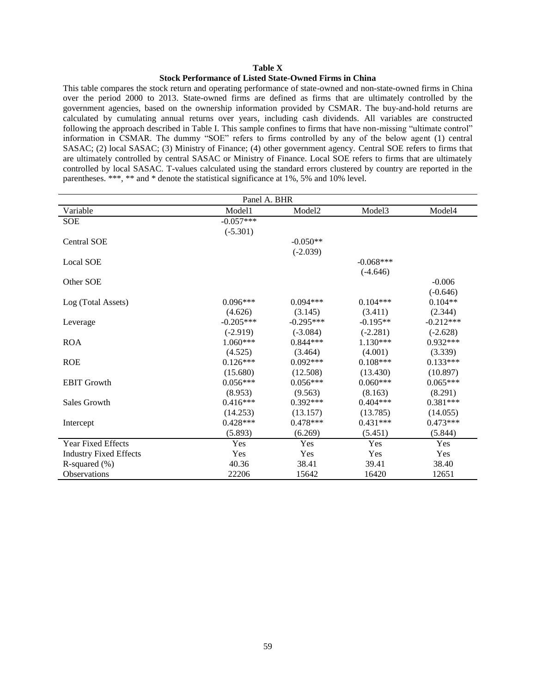#### **Table X**

### **Stock Performance of Listed State-Owned Firms in China**

This table compares the stock return and operating performance of state-owned and non-state-owned firms in China over the period 2000 to 2013. State-owned firms are defined as firms that are ultimately controlled by the government agencies, based on the ownership information provided by CSMAR. The buy-and-hold returns are calculated by cumulating annual returns over years, including cash dividends. All variables are constructed following the approach described in Table I. This sample confines to firms that have non-missing "ultimate control" information in CSMAR. The dummy "SOE" refers to firms controlled by any of the below agent (1) central SASAC; (2) local SASAC; (3) Ministry of Finance; (4) other government agency. Central SOE refers to firms that are ultimately controlled by central SASAC or Ministry of Finance. Local SOE refers to firms that are ultimately controlled by local SASAC. T-values calculated using the standard errors clustered by country are reported in the parentheses. \*\*\*, \*\* and \* denote the statistical significance at 1%, 5% and 10% level.

| Panel A. BHR                  |             |                    |             |             |  |  |  |  |
|-------------------------------|-------------|--------------------|-------------|-------------|--|--|--|--|
| Variable                      | Model1      | Model <sub>2</sub> | Model3      | Model4      |  |  |  |  |
| <b>SOE</b>                    | $-0.057***$ |                    |             |             |  |  |  |  |
|                               | $(-5.301)$  |                    |             |             |  |  |  |  |
| <b>Central SOE</b>            |             | $-0.050**$         |             |             |  |  |  |  |
|                               |             | $(-2.039)$         |             |             |  |  |  |  |
| <b>Local SOE</b>              |             |                    | $-0.068***$ |             |  |  |  |  |
|                               |             |                    | $(-4.646)$  |             |  |  |  |  |
| Other SOE                     |             |                    |             | $-0.006$    |  |  |  |  |
|                               |             |                    |             | $(-0.646)$  |  |  |  |  |
| Log (Total Assets)            | $0.096***$  | $0.094***$         | $0.104***$  | $0.104**$   |  |  |  |  |
|                               | (4.626)     | (3.145)            | (3.411)     | (2.344)     |  |  |  |  |
| Leverage                      | $-0.205***$ | $-0.295***$        | $-0.195**$  | $-0.212***$ |  |  |  |  |
|                               | $(-2.919)$  | $(-3.084)$         | $(-2.281)$  | $(-2.628)$  |  |  |  |  |
| <b>ROA</b>                    | $1.060***$  | $0.844***$         | $1.130***$  | $0.932***$  |  |  |  |  |
|                               | (4.525)     | (3.464)            | (4.001)     | (3.339)     |  |  |  |  |
| <b>ROE</b>                    | $0.126***$  | $0.092***$         | $0.108***$  | $0.133***$  |  |  |  |  |
|                               | (15.680)    | (12.508)           | (13.430)    | (10.897)    |  |  |  |  |
| <b>EBIT Growth</b>            | $0.056***$  | $0.056***$         | $0.060***$  | $0.065***$  |  |  |  |  |
|                               | (8.953)     | (9.563)            | (8.163)     | (8.291)     |  |  |  |  |
| Sales Growth                  | $0.416***$  | $0.392***$         | $0.404***$  | $0.381***$  |  |  |  |  |
|                               | (14.253)    | (13.157)           | (13.785)    | (14.055)    |  |  |  |  |
| Intercept                     | $0.428***$  | $0.478***$         | $0.431***$  | $0.473***$  |  |  |  |  |
|                               | (5.893)     | (6.269)            | (5.451)     | (5.844)     |  |  |  |  |
| <b>Year Fixed Effects</b>     | Yes         | Yes                | Yes         | Yes         |  |  |  |  |
| <b>Industry Fixed Effects</b> | Yes         | Yes                | Yes         | Yes         |  |  |  |  |
| R-squared $(\%)$              | 40.36       | 38.41              | 39.41       | 38.40       |  |  |  |  |
| <b>Observations</b>           | 22206       | 15642              | 16420       | 12651       |  |  |  |  |